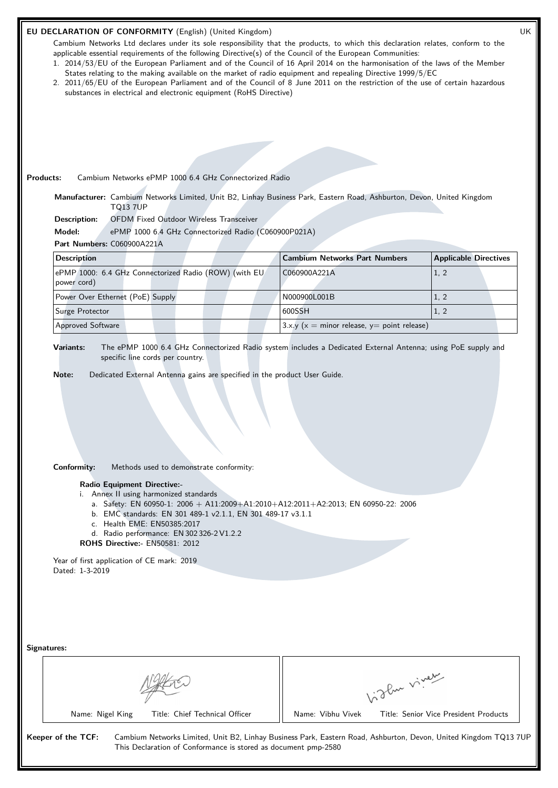| <b>Products:</b>                                              | substances in electrical and electronic equipment (RoHS Directive)<br>Cambium Networks ePMP 1000 6.4 GHz Connectorized Radio            | Cambium Networks Ltd declares under its sole responsibility that the products, to which this declaration relates, conform to the<br>applicable essential requirements of the following Directive(s) of the Council of the European Communities:<br>1. 2014/53/EU of the European Parliament and of the Council of 16 April 2014 on the harmonisation of the laws of the Member<br>States relating to the making available on the market of radio equipment and repealing Directive 1999/5/EC<br>2. 2011/65/EU of the European Parliament and of the Council of 8 June 2011 on the restriction of the use of certain hazardous<br>Manufacturer: Cambium Networks Limited, Unit B2, Linhay Business Park, Eastern Road, Ashburton, Devon, United Kingdom |                              |
|---------------------------------------------------------------|-----------------------------------------------------------------------------------------------------------------------------------------|--------------------------------------------------------------------------------------------------------------------------------------------------------------------------------------------------------------------------------------------------------------------------------------------------------------------------------------------------------------------------------------------------------------------------------------------------------------------------------------------------------------------------------------------------------------------------------------------------------------------------------------------------------------------------------------------------------------------------------------------------------|------------------------------|
| <b>TQ13 7UP</b><br>Description:                               | <b>OFDM Fixed Outdoor Wireless Transceiver</b>                                                                                          |                                                                                                                                                                                                                                                                                                                                                                                                                                                                                                                                                                                                                                                                                                                                                        |                              |
| Model:                                                        | ePMP 1000 6.4 GHz Connectorized Radio (C060900P021A)                                                                                    |                                                                                                                                                                                                                                                                                                                                                                                                                                                                                                                                                                                                                                                                                                                                                        |                              |
| Part Numbers: C060900A221A                                    |                                                                                                                                         |                                                                                                                                                                                                                                                                                                                                                                                                                                                                                                                                                                                                                                                                                                                                                        |                              |
| <b>Description</b>                                            |                                                                                                                                         | <b>Cambium Networks Part Numbers</b>                                                                                                                                                                                                                                                                                                                                                                                                                                                                                                                                                                                                                                                                                                                   | <b>Applicable Directives</b> |
| power cord)                                                   | ePMP 1000: 6.4 GHz Connectorized Radio (ROW) (with EU                                                                                   | C060900A221A                                                                                                                                                                                                                                                                                                                                                                                                                                                                                                                                                                                                                                                                                                                                           | 1, 2                         |
| Power Over Ethernet (PoE) Supply                              |                                                                                                                                         | N000900L001B                                                                                                                                                                                                                                                                                                                                                                                                                                                                                                                                                                                                                                                                                                                                           | 1, 2                         |
| Surge Protector                                               |                                                                                                                                         | 600SSH                                                                                                                                                                                                                                                                                                                                                                                                                                                                                                                                                                                                                                                                                                                                                 | 1, 2                         |
|                                                               |                                                                                                                                         | 3.x.y ( $x =$ minor release, $y =$ point release)                                                                                                                                                                                                                                                                                                                                                                                                                                                                                                                                                                                                                                                                                                      |                              |
| <b>Approved Software</b><br>Variants:<br>Note:                | specific line cords per country.<br>Dedicated External Antenna gains are specified in the product User Guide.                           | The ePMP 1000 6.4 GHz Connectorized Radio system includes a Dedicated External Antenna; using PoE supply and                                                                                                                                                                                                                                                                                                                                                                                                                                                                                                                                                                                                                                           |                              |
| Conformity:<br>Radio Equipment Directive:-                    | Methods used to demonstrate conformity:<br>i. Annex II using harmonized standards                                                       |                                                                                                                                                                                                                                                                                                                                                                                                                                                                                                                                                                                                                                                                                                                                                        |                              |
| <b>ROHS Directive: - EN50581: 2012</b>                        | b. EMC standards: EN 301 489-1 v2.1.1, EN 301 489-17 v3.1.1<br>c. Health EME: EN50385:2017<br>d. Radio performance: EN 302 326-2 V1.2.2 | a. Safety: EN 60950-1: 2006 + A11:2009+A1:2010+A12:2011+A2:2013; EN 60950-22: 2006                                                                                                                                                                                                                                                                                                                                                                                                                                                                                                                                                                                                                                                                     |                              |
| Year of first application of CE mark: 2019<br>Dated: 1-3-2019 |                                                                                                                                         |                                                                                                                                                                                                                                                                                                                                                                                                                                                                                                                                                                                                                                                                                                                                                        |                              |
| Signatures:                                                   |                                                                                                                                         |                                                                                                                                                                                                                                                                                                                                                                                                                                                                                                                                                                                                                                                                                                                                                        |                              |
|                                                               |                                                                                                                                         | Light viver                                                                                                                                                                                                                                                                                                                                                                                                                                                                                                                                                                                                                                                                                                                                            |                              |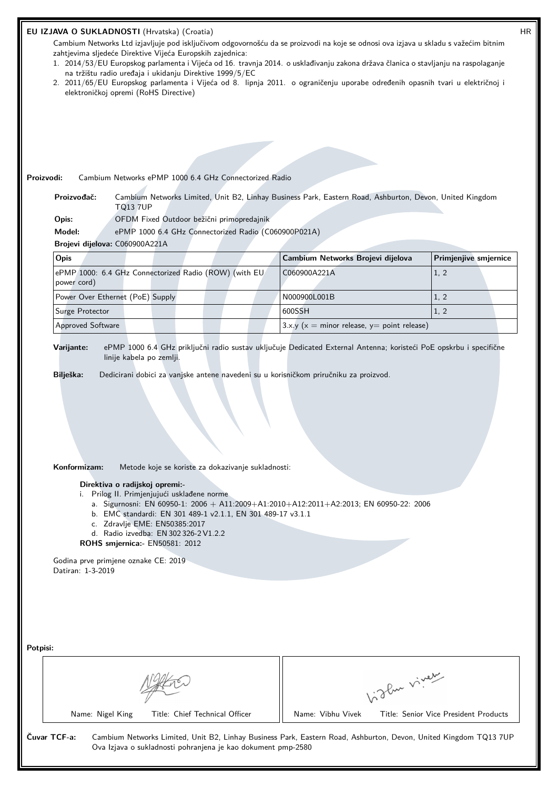|          | HR<br>EU IZJAVA O SUKLADNOSTI (Hrvatska) (Croatia)                                                                                                                                                                                                                                                                                                                                                                                                                                                                                                                         |                                                                                                                                                                                                                                                                                                                                                                                                                                                                                                                                                                |  |                                                              |                                                                                                                  |                                                      |  |
|----------|----------------------------------------------------------------------------------------------------------------------------------------------------------------------------------------------------------------------------------------------------------------------------------------------------------------------------------------------------------------------------------------------------------------------------------------------------------------------------------------------------------------------------------------------------------------------------|----------------------------------------------------------------------------------------------------------------------------------------------------------------------------------------------------------------------------------------------------------------------------------------------------------------------------------------------------------------------------------------------------------------------------------------------------------------------------------------------------------------------------------------------------------------|--|--------------------------------------------------------------|------------------------------------------------------------------------------------------------------------------|------------------------------------------------------|--|
|          | Cambium Networks Ltd izjavljuje pod isključivom odgovornošću da se proizvodi na koje se odnosi ova izjava u skladu s važećim bitnim<br>zahtjevima sljedeće Direktive Vijeća Europskih zajednica:<br>1. 2014/53/EU Europskog parlamenta i Vijeća od 16. travnja 2014. o usklađivanju zakona država članica o stavljanju na raspolaganje<br>na tržištu radio uređaja i ukidanju Direktive 1999/5/EC<br>2. 2011/65/EU Europskog parlamenta i Vijeća od 8. lipnja 2011. o ograničenju uporabe određenih opasnih tvari u električnoj i<br>elektroničkoj opremi (RoHS Directive) |                                                                                                                                                                                                                                                                                                                                                                                                                                                                                                                                                                |  |                                                              |                                                                                                                  |                                                      |  |
|          |                                                                                                                                                                                                                                                                                                                                                                                                                                                                                                                                                                            |                                                                                                                                                                                                                                                                                                                                                                                                                                                                                                                                                                |  |                                                              |                                                                                                                  |                                                      |  |
|          |                                                                                                                                                                                                                                                                                                                                                                                                                                                                                                                                                                            |                                                                                                                                                                                                                                                                                                                                                                                                                                                                                                                                                                |  |                                                              |                                                                                                                  |                                                      |  |
|          |                                                                                                                                                                                                                                                                                                                                                                                                                                                                                                                                                                            |                                                                                                                                                                                                                                                                                                                                                                                                                                                                                                                                                                |  |                                                              |                                                                                                                  |                                                      |  |
|          |                                                                                                                                                                                                                                                                                                                                                                                                                                                                                                                                                                            |                                                                                                                                                                                                                                                                                                                                                                                                                                                                                                                                                                |  |                                                              |                                                                                                                  |                                                      |  |
|          |                                                                                                                                                                                                                                                                                                                                                                                                                                                                                                                                                                            |                                                                                                                                                                                                                                                                                                                                                                                                                                                                                                                                                                |  |                                                              |                                                                                                                  |                                                      |  |
|          | Proizvodi:                                                                                                                                                                                                                                                                                                                                                                                                                                                                                                                                                                 |                                                                                                                                                                                                                                                                                                                                                                                                                                                                                                                                                                |  | Cambium Networks ePMP 1000 6.4 GHz Connectorized Radio       |                                                                                                                  |                                                      |  |
|          | Proizvođač:                                                                                                                                                                                                                                                                                                                                                                                                                                                                                                                                                                | <b>TQ13 7UP</b>                                                                                                                                                                                                                                                                                                                                                                                                                                                                                                                                                |  |                                                              | Cambium Networks Limited, Unit B2, Linhay Business Park, Eastern Road, Ashburton, Devon, United Kingdom          |                                                      |  |
|          | Opis:                                                                                                                                                                                                                                                                                                                                                                                                                                                                                                                                                                      |                                                                                                                                                                                                                                                                                                                                                                                                                                                                                                                                                                |  | OFDM Fixed Outdoor bežični primopredajnik                    |                                                                                                                  |                                                      |  |
|          | Model:                                                                                                                                                                                                                                                                                                                                                                                                                                                                                                                                                                     |                                                                                                                                                                                                                                                                                                                                                                                                                                                                                                                                                                |  | ePMP 1000 6.4 GHz Connectorized Radio (C060900P021A)         |                                                                                                                  |                                                      |  |
|          | Brojevi dijelova: C060900A221A                                                                                                                                                                                                                                                                                                                                                                                                                                                                                                                                             |                                                                                                                                                                                                                                                                                                                                                                                                                                                                                                                                                                |  |                                                              |                                                                                                                  |                                                      |  |
|          | Opis                                                                                                                                                                                                                                                                                                                                                                                                                                                                                                                                                                       |                                                                                                                                                                                                                                                                                                                                                                                                                                                                                                                                                                |  |                                                              | Cambium Networks Brojevi dijelova                                                                                | Primjenjive smjernice                                |  |
|          | power cord)                                                                                                                                                                                                                                                                                                                                                                                                                                                                                                                                                                |                                                                                                                                                                                                                                                                                                                                                                                                                                                                                                                                                                |  | ePMP 1000: 6.4 GHz Connectorized Radio (ROW) (with EU        | C060900A221A                                                                                                     | 1, 2                                                 |  |
|          | Power Over Ethernet (PoE) Supply                                                                                                                                                                                                                                                                                                                                                                                                                                                                                                                                           |                                                                                                                                                                                                                                                                                                                                                                                                                                                                                                                                                                |  |                                                              | N000900L001B                                                                                                     | 1, 2                                                 |  |
|          | Surge Protector                                                                                                                                                                                                                                                                                                                                                                                                                                                                                                                                                            |                                                                                                                                                                                                                                                                                                                                                                                                                                                                                                                                                                |  |                                                              | 600SSH                                                                                                           | 1, 2                                                 |  |
|          | Approved Software                                                                                                                                                                                                                                                                                                                                                                                                                                                                                                                                                          |                                                                                                                                                                                                                                                                                                                                                                                                                                                                                                                                                                |  |                                                              | 3.x.y ( $x =$ minor release, $y =$ point release)                                                                |                                                      |  |
|          | Bilješka:<br>Konformizam:                                                                                                                                                                                                                                                                                                                                                                                                                                                                                                                                                  | Dedicirani dobici za vanjske antene navedeni su u korisničkom priručniku za proizvod.<br>Metode koje se koriste za dokazivanje sukladnosti:<br>Direktiva o radijskoj opremi:-<br>i. Prilog II. Primjenjujući usklađene norme<br>a. Sigurnosni: EN 60950-1: 2006 + A11:2009+A1:2010+A12:2011+A2:2013; EN 60950-22: 2006<br>b. EMC standardi: EN 301 489-1 v2.1.1, EN 301 489-17 v3.1.1<br>c. Zdravlje EME: EN50385:2017<br>d. Radio izvedba: EN 302 326-2 V1.2.2<br>ROHS smjernica:- EN50581: 2012<br>Godina prve primjene oznake CE: 2019<br>Datiran: 1-3-2019 |  |                                                              |                                                                                                                  |                                                      |  |
| Potpisi: | Name: Nigel King                                                                                                                                                                                                                                                                                                                                                                                                                                                                                                                                                           |                                                                                                                                                                                                                                                                                                                                                                                                                                                                                                                                                                |  | Title: Chief Technical Officer                               | Name: Vibhu Vivek                                                                                                | light viney<br>Title: Senior Vice President Products |  |
|          | Čuvar TCF-a:                                                                                                                                                                                                                                                                                                                                                                                                                                                                                                                                                               |                                                                                                                                                                                                                                                                                                                                                                                                                                                                                                                                                                |  | Ova Izjava o sukladnosti pohranjena je kao dokument pmp-2580 | Cambium Networks Limited, Unit B2, Linhay Business Park, Eastern Road, Ashburton, Devon, United Kingdom TQ13 7UP |                                                      |  |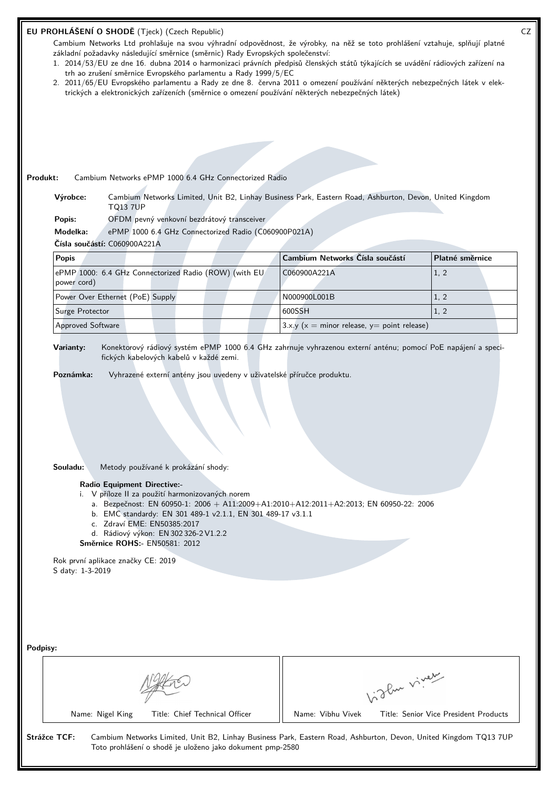| Cambium Networks Ltd prohlašuje na svou výhradní odpovědnost, že výrobky, na něž se toto prohlášení vztahuje, splňují platné<br>základní požadavky následující směrnice (směrnic) Rady Evropských společenství:<br>1. 2014/53/EU ze dne 16. dubna 2014 o harmonizaci právních předpisů členských států týkajících se uvádění rádiových zařízení na |                                                   |                 |
|----------------------------------------------------------------------------------------------------------------------------------------------------------------------------------------------------------------------------------------------------------------------------------------------------------------------------------------------------|---------------------------------------------------|-----------------|
| trh ao zrušení směrnice Evropského parlamentu a Rady 1999/5/EC                                                                                                                                                                                                                                                                                     |                                                   |                 |
| 2. 2011/65/EU Evropského parlamentu a Rady ze dne 8. června 2011 o omezení používání některých nebezpečných látek v elek-<br>trických a elektronických zařízeních (směrnice o omezení používání některých nebezpečných látek)                                                                                                                      |                                                   |                 |
|                                                                                                                                                                                                                                                                                                                                                    |                                                   |                 |
|                                                                                                                                                                                                                                                                                                                                                    |                                                   |                 |
|                                                                                                                                                                                                                                                                                                                                                    |                                                   |                 |
| Produkt:<br>Cambium Networks ePMP 1000 6.4 GHz Connectorized Radio                                                                                                                                                                                                                                                                                 |                                                   |                 |
| Výrobce:<br>Cambium Networks Limited, Unit B2, Linhay Business Park, Eastern Road, Ashburton, Devon, United Kingdom<br><b>TQ13 7UP</b>                                                                                                                                                                                                             |                                                   |                 |
| OFDM pevný venkovní bezdrátový transceiver<br>Popis:                                                                                                                                                                                                                                                                                               |                                                   |                 |
| Modelka:<br>ePMP 1000 6.4 GHz Connectorized Radio (C060900P021A)<br>Čísla součástí: C060900A221A                                                                                                                                                                                                                                                   |                                                   |                 |
| <b>Popis</b>                                                                                                                                                                                                                                                                                                                                       | Cambium Networks Čísla součástí                   | Platné směrnice |
| ePMP 1000: 6.4 GHz Connectorized Radio (ROW) (with EU                                                                                                                                                                                                                                                                                              | C060900A221A                                      | 1, 2            |
| power cord)<br>Power Over Ethernet (PoE) Supply                                                                                                                                                                                                                                                                                                    | N000900L001B                                      | 1, 2            |
| Surge Protector                                                                                                                                                                                                                                                                                                                                    | 600SSH                                            | 1, 2            |
| <b>Approved Software</b>                                                                                                                                                                                                                                                                                                                           | 3.x.y ( $x =$ minor release, $y =$ point release) |                 |
| Varianty:<br>Konektorový rádiový systém ePMP 1000 6.4 GHz zahrnuje vyhrazenou externí anténu; pomocí PoE napájení a speci-<br>fických kabelových kabelů v každé zemi.<br>Poznámka:<br>Vyhrazené externí antény jsou uvedeny v uživatelské příručce produktu.                                                                                       |                                                   |                 |
| Souladu:<br>Metody používané k prokázání shody:<br><b>Radio Equipment Directive:-</b><br>i. V příloze II za použití harmonizovaných norem<br>a. Bezpečnost: EN 60950-1: 2006 + A11:2009+A1:2010+A12:2011+A2:2013; EN 60950-22: 2006<br>b. EMC standardy: EN 301 489-1 v2.1.1, EN 301 489-17 v3.1.1                                                 |                                                   |                 |
| c. Zdraví EME: EN50385:2017<br>d. Rádiový výkon: EN 302 326-2 V1.2.2<br>Směrnice ROHS:- EN50581: 2012                                                                                                                                                                                                                                              |                                                   |                 |
| Rok první aplikace značky CE: 2019<br>S daty: 1-3-2019                                                                                                                                                                                                                                                                                             |                                                   |                 |
|                                                                                                                                                                                                                                                                                                                                                    |                                                   |                 |
| Podpisy:                                                                                                                                                                                                                                                                                                                                           |                                                   |                 |
|                                                                                                                                                                                                                                                                                                                                                    | Light virey                                       |                 |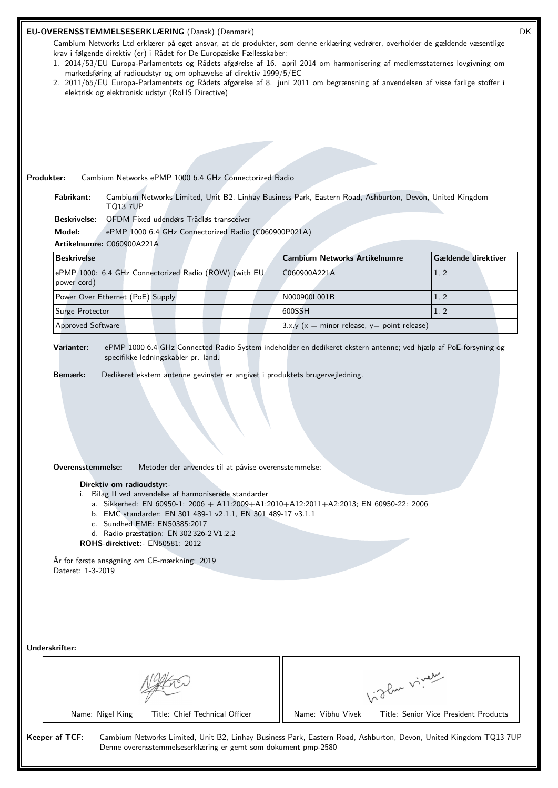| Produkter:                                                          | EU-OVERENSSTEMMELSESERKLÆRING (Dansk) (Denmark)<br>Cambium Networks Ltd erklærer på eget ansvar, at de produkter, som denne erklæring vedrører, overholder de gældende væsentlige<br>krav i følgende direktiv (er) i Rådet for De Europæiske Fællesskaber:<br>1. 2014/53/EU Europa-Parlamentets og Rådets afgørelse af 16. april 2014 om harmonisering af medlemsstaternes lovgivning om<br>markedsføring af radioudstyr og om ophævelse af direktiv 1999/5/EC<br>2. 2011/65/EU Europa-Parlamentets og Rådets afgørelse af 8. juni 2011 om begrænsning af anvendelsen af visse farlige stoffer i<br>elektrisk og elektronisk udstyr (RoHS Directive)<br>Cambium Networks ePMP 1000 6.4 GHz Connectorized Radio |                                                   |              | DK                                    |
|---------------------------------------------------------------------|----------------------------------------------------------------------------------------------------------------------------------------------------------------------------------------------------------------------------------------------------------------------------------------------------------------------------------------------------------------------------------------------------------------------------------------------------------------------------------------------------------------------------------------------------------------------------------------------------------------------------------------------------------------------------------------------------------------|---------------------------------------------------|--------------|---------------------------------------|
| Fabrikant:                                                          | Cambium Networks Limited, Unit B2, Linhay Business Park, Eastern Road, Ashburton, Devon, United Kingdom                                                                                                                                                                                                                                                                                                                                                                                                                                                                                                                                                                                                        |                                                   |              |                                       |
| <b>TQ13 7UP</b><br><b>Beskrivelse:</b>                              | OFDM Fixed udendørs Trådløs transceiver                                                                                                                                                                                                                                                                                                                                                                                                                                                                                                                                                                                                                                                                        |                                                   |              |                                       |
| Model:                                                              | ePMP 1000 6.4 GHz Connectorized Radio (C060900P021A)                                                                                                                                                                                                                                                                                                                                                                                                                                                                                                                                                                                                                                                           |                                                   |              |                                       |
| Artikelnumre: C060900A221A                                          |                                                                                                                                                                                                                                                                                                                                                                                                                                                                                                                                                                                                                                                                                                                |                                                   |              |                                       |
| <b>Beskrivelse</b>                                                  |                                                                                                                                                                                                                                                                                                                                                                                                                                                                                                                                                                                                                                                                                                                | <b>Cambium Networks Artikelnumre</b>              |              | Gældende direktiver                   |
| power cord)                                                         | ePMP 1000: 6.4 GHz Connectorized Radio (ROW) (with EU                                                                                                                                                                                                                                                                                                                                                                                                                                                                                                                                                                                                                                                          | C060900A221A                                      |              | 1, 2                                  |
| Power Over Ethernet (PoE) Supply                                    |                                                                                                                                                                                                                                                                                                                                                                                                                                                                                                                                                                                                                                                                                                                | N000900L001B                                      |              | 1, 2                                  |
| Surge Protector                                                     |                                                                                                                                                                                                                                                                                                                                                                                                                                                                                                                                                                                                                                                                                                                | 600SSH                                            |              | 1, 2                                  |
| <b>Approved Software</b>                                            |                                                                                                                                                                                                                                                                                                                                                                                                                                                                                                                                                                                                                                                                                                                | 3.x.y ( $x =$ minor release, $y =$ point release) |              |                                       |
| Overensstemmelse:<br>Direktiv om radioudstyr:-<br>Dateret: 1-3-2019 | Metoder der anvendes til at påvise overensstemmelse:<br>i. Bilag II ved anvendelse af harmoniserede standarder<br>a. Sikkerhed: EN 60950-1: 2006 + A11:2009+A1:2010+A12:2011+A2:2013; EN 60950-22: 2006<br>b. EMC standarder: EN 301 489-1 v2.1.1, EN 301 489-17 v3.1.1<br>c. Sundhed EME: EN50385:2017<br>d. Radio præstation: EN 302 326-2 V1.2.2<br>ROHS-direktivet:- EN50581: 2012<br>År for første ansøgning om CE-mærkning: 2019                                                                                                                                                                                                                                                                         |                                                   |              |                                       |
| Underskrifter:<br>Name: Nigel King                                  | Title: Chief Technical Officer                                                                                                                                                                                                                                                                                                                                                                                                                                                                                                                                                                                                                                                                                 | Name: Vibhu Vivek                                 | Vigler virey | Title: Senior Vice President Products |
| Keeper af TCF:                                                      | Cambium Networks Limited, Unit B2, Linhay Business Park, Eastern Road, Ashburton, Devon, United Kingdom TQ13 7UP<br>Denne overensstemmelseserklæring er gemt som dokument pmp-2580                                                                                                                                                                                                                                                                                                                                                                                                                                                                                                                             |                                                   |              |                                       |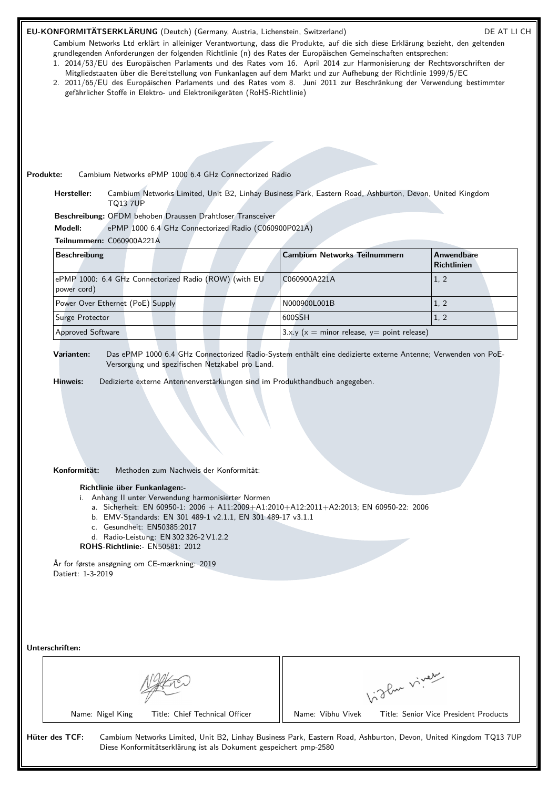| Produkte:<br>Hersteller:<br><b>TQ13 7UP</b>                                                   | grundlegenden Anforderungen der folgenden Richtlinie (n) des Rates der Europäischen Gemeinschaften entsprechen:<br>1. 2014/53/EU des Europäischen Parlaments und des Rates vom 16. April 2014 zur Harmonisierung der Rechtsvorschriften der<br>Mitgliedstaaten über die Bereitstellung von Funkanlagen auf dem Markt und zur Aufhebung der Richtlinie 1999/5/EC<br>2. 2011/65/EU des Europäischen Parlaments und des Rates vom 8. Juni 2011 zur Beschränkung der Verwendung bestimmter<br>gefährlicher Stoffe in Elektro- und Elektronikgeräten (RoHS-Richtlinie)<br>Cambium Networks ePMP 1000 6.4 GHz Connectorized Radio<br>Cambium Networks Limited, Unit B2, Linhay Business Park, Eastern Road, Ashburton, Devon, United Kingdom |                                                   |              | Cambium Networks Ltd erklärt in alleiniger Verantwortung, dass die Produkte, auf die sich diese Erklärung bezieht, den geltenden |
|-----------------------------------------------------------------------------------------------|----------------------------------------------------------------------------------------------------------------------------------------------------------------------------------------------------------------------------------------------------------------------------------------------------------------------------------------------------------------------------------------------------------------------------------------------------------------------------------------------------------------------------------------------------------------------------------------------------------------------------------------------------------------------------------------------------------------------------------------|---------------------------------------------------|--------------|----------------------------------------------------------------------------------------------------------------------------------|
|                                                                                               | Beschreibung: OFDM behoben Draussen Drahtloser Transceiver                                                                                                                                                                                                                                                                                                                                                                                                                                                                                                                                                                                                                                                                             |                                                   |              |                                                                                                                                  |
| Modell:                                                                                       | ePMP 1000 6.4 GHz Connectorized Radio (C060900P021A)                                                                                                                                                                                                                                                                                                                                                                                                                                                                                                                                                                                                                                                                                   |                                                   |              |                                                                                                                                  |
| Teilnummern: C060900A221A                                                                     |                                                                                                                                                                                                                                                                                                                                                                                                                                                                                                                                                                                                                                                                                                                                        |                                                   |              |                                                                                                                                  |
| <b>Beschreibung</b>                                                                           |                                                                                                                                                                                                                                                                                                                                                                                                                                                                                                                                                                                                                                                                                                                                        | <b>Cambium Networks Teilnummern</b>               |              | <b>Anwendbare</b><br><b>Richtlinien</b>                                                                                          |
| power cord)                                                                                   | ePMP 1000: 6.4 GHz Connectorized Radio (ROW) (with EU                                                                                                                                                                                                                                                                                                                                                                                                                                                                                                                                                                                                                                                                                  | C060900A221A                                      |              | 1, 2                                                                                                                             |
| Power Over Ethernet (PoE) Supply                                                              |                                                                                                                                                                                                                                                                                                                                                                                                                                                                                                                                                                                                                                                                                                                                        | N000900L001B                                      |              | 1, 2                                                                                                                             |
| Surge Protector                                                                               |                                                                                                                                                                                                                                                                                                                                                                                                                                                                                                                                                                                                                                                                                                                                        | 600SSH                                            |              | 1, 2                                                                                                                             |
| <b>Approved Software</b>                                                                      |                                                                                                                                                                                                                                                                                                                                                                                                                                                                                                                                                                                                                                                                                                                                        | 3.x.y ( $x =$ minor release, $y =$ point release) |              |                                                                                                                                  |
| Varianten:<br>Hinweis:                                                                        | Das ePMP 1000 6.4 GHz Connectorized Radio-System enthält eine dedizierte externe Antenne; Verwenden von PoE-<br>Versorgung und spezifischen Netzkabel pro Land.<br>Dedizierte externe Antennenverstärkungen sind im Produkthandbuch angegeben.                                                                                                                                                                                                                                                                                                                                                                                                                                                                                         |                                                   |              |                                                                                                                                  |
| Konformität:<br>Richtlinie über Funkanlagen:-<br>År for første ansøgning om CE-mærkning: 2019 | Methoden zum Nachweis der Konformität:<br>i. Anhang II unter Verwendung harmonisierter Normen<br>a. Sicherheit: EN 60950-1: 2006 + A11:2009+A1:2010+A12:2011+A2:2013; EN 60950-22: 2006<br>b. EMV-Standards: EN 301 489-1 v2.1.1, EN 301 489-17 v3.1.1<br>c. Gesundheit: EN50385:2017<br>d. Radio-Leistung: EN 302 326-2 V1.2.2<br>ROHS-Richtlinie:- EN50581: 2012                                                                                                                                                                                                                                                                                                                                                                     |                                                   |              |                                                                                                                                  |
| Datiert: 1-3-2019<br>Unterschriften:                                                          |                                                                                                                                                                                                                                                                                                                                                                                                                                                                                                                                                                                                                                                                                                                                        |                                                   |              |                                                                                                                                  |
| Name: Nigel King                                                                              | Title: Chief Technical Officer                                                                                                                                                                                                                                                                                                                                                                                                                                                                                                                                                                                                                                                                                                         | Name: Vibhu Vivek                                 | Vidley vivey | Title: Senior Vice President Products                                                                                            |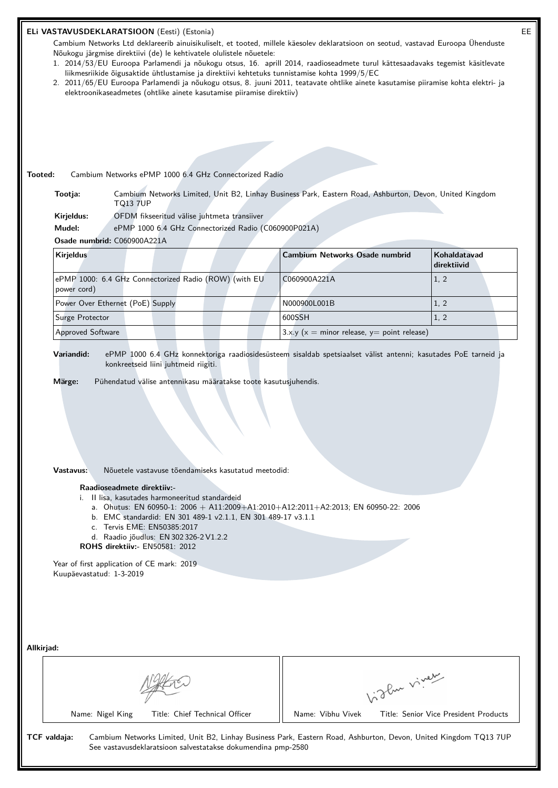| EE<br>ELi VASTAVUSDEKLARATSIOON (Eesti) (Estonia)                                                                                                                                                                                                                                                                                                                                                                                                                |                                                   |                                       |  |  |
|------------------------------------------------------------------------------------------------------------------------------------------------------------------------------------------------------------------------------------------------------------------------------------------------------------------------------------------------------------------------------------------------------------------------------------------------------------------|---------------------------------------------------|---------------------------------------|--|--|
| Cambium Networks Ltd deklareerib ainuisikuliselt, et tooted, millele käesolev deklaratsioon on seotud, vastavad Euroopa Ühenduste<br>Nõukogu järgmise direktiivi (de) le kehtivatele olulistele nõuetele:<br>1. 2014/53/EU Euroopa Parlamendi ja nõukogu otsus, 16. aprill 2014, raadioseadmete turul kättesaadavaks tegemist käsitlevate                                                                                                                        |                                                   |                                       |  |  |
| liikmesriikide õigusaktide ühtlustamise ja direktiivi kehtetuks tunnistamise kohta 1999/5/EC<br>2. 2011/65/EU Euroopa Parlamendi ja nõukogu otsus, 8. juuni 2011, teatavate ohtlike ainete kasutamise piiramise kohta elektri- ja<br>elektroonikaseadmetes (ohtlike ainete kasutamise piiramise direktiiv)                                                                                                                                                       |                                                   |                                       |  |  |
|                                                                                                                                                                                                                                                                                                                                                                                                                                                                  |                                                   |                                       |  |  |
|                                                                                                                                                                                                                                                                                                                                                                                                                                                                  |                                                   |                                       |  |  |
|                                                                                                                                                                                                                                                                                                                                                                                                                                                                  |                                                   |                                       |  |  |
| Tooted:<br>Cambium Networks ePMP 1000 6.4 GHz Connectorized Radio                                                                                                                                                                                                                                                                                                                                                                                                |                                                   |                                       |  |  |
| Tootja:<br>Cambium Networks Limited, Unit B2, Linhay Business Park, Eastern Road, Ashburton, Devon, United Kingdom<br><b>TQ13 7UP</b>                                                                                                                                                                                                                                                                                                                            |                                                   |                                       |  |  |
| OFDM fikseeritud välise juhtmeta transiiver<br>Kirjeldus:                                                                                                                                                                                                                                                                                                                                                                                                        |                                                   |                                       |  |  |
| Mudel:<br>ePMP 1000 6.4 GHz Connectorized Radio (C060900P021A)<br>Osade numbrid: C060900A221A                                                                                                                                                                                                                                                                                                                                                                    |                                                   |                                       |  |  |
| <b>Kirjeldus</b>                                                                                                                                                                                                                                                                                                                                                                                                                                                 | <b>Cambium Networks Osade numbrid</b>             | Kohaldatavad<br>direktiivid           |  |  |
| ePMP 1000: 6.4 GHz Connectorized Radio (ROW) (with EU<br>power cord)                                                                                                                                                                                                                                                                                                                                                                                             | C060900A221A                                      | 1, 2                                  |  |  |
| Power Over Ethernet (PoE) Supply                                                                                                                                                                                                                                                                                                                                                                                                                                 | N000900L001B                                      | 1, 2                                  |  |  |
| Surge Protector                                                                                                                                                                                                                                                                                                                                                                                                                                                  | 600SSH                                            | 1, 2                                  |  |  |
| <b>Approved Software</b>                                                                                                                                                                                                                                                                                                                                                                                                                                         | 3.x.y ( $x =$ minor release, $y =$ point release) |                                       |  |  |
| Nõuetele vastavuse tõendamiseks kasutatud meetodid:<br>Vastavus:<br>Raadioseadmete direktiiv:-<br>i. Il lisa, kasutades harmoneeritud standardeid<br>a. Ohutus: EN 60950-1: 2006 + A11:2009+A1:2010+A12:2011+A2:2013; EN 60950-22: 2006<br>b. EMC standardid: EN 301 489-1 v2.1.1, EN 301 489-17 v3.1.1<br>c. Tervis EME: EN50385:2017<br>d. Raadio jõudlus: EN 302 326-2 V1.2.2<br>ROHS direktiiv:- EN50581: 2012<br>Year of first application of CE mark: 2019 |                                                   |                                       |  |  |
| Kuupäevastatud: 1-3-2019<br>Allkirjad:                                                                                                                                                                                                                                                                                                                                                                                                                           |                                                   |                                       |  |  |
|                                                                                                                                                                                                                                                                                                                                                                                                                                                                  |                                                   |                                       |  |  |
|                                                                                                                                                                                                                                                                                                                                                                                                                                                                  | Vigler virey                                      |                                       |  |  |
| Name: Nigel King<br>Title: Chief Technical Officer                                                                                                                                                                                                                                                                                                                                                                                                               | Name: Vibhu Vivek                                 | Title: Senior Vice President Products |  |  |
| TCF valdaja:<br>Cambium Networks Limited, Unit B2, Linhay Business Park, Eastern Road, Ashburton, Devon, United Kingdom TQ13 7UP<br>See vastavusdeklaratsioon salvestatakse dokumendina pmp-2580                                                                                                                                                                                                                                                                 |                                                   |                                       |  |  |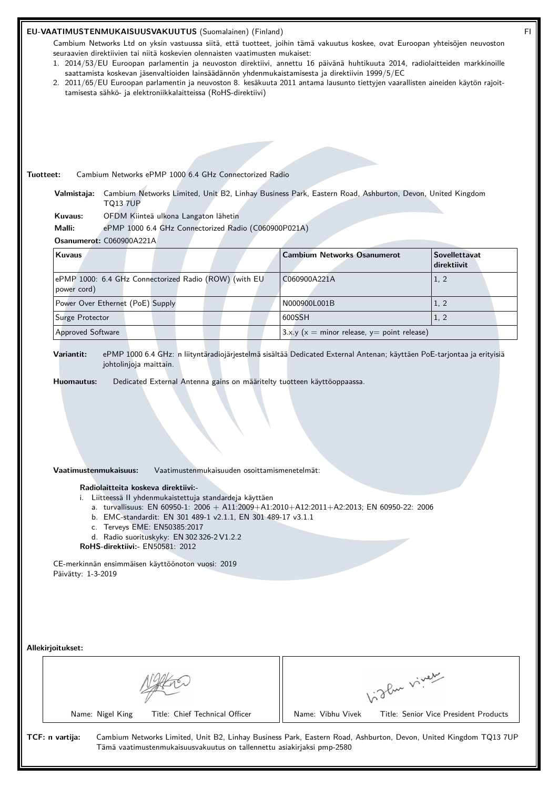## **EU-VAATIMUSTENMUKAISUUSVAKUUTUS** (Suomalainen) (Finland) FI

Cambium Networks Ltd on yksin vastuussa siitä, että tuotteet, joihin tämä vakuutus koskee, ovat Euroopan yhteisöjen neuvoston seuraavien direktiivien tai niitä koskevien olennaisten vaatimusten mukaiset:

- 1. 2014/53/EU Euroopan parlamentin ja neuvoston direktiivi, annettu 16 päivänä huhtikuuta 2014, radiolaitteiden markkinoille saattamista koskevan jäsenvaltioiden lainsäädännön yhdenmukaistamisesta ja direktiivin 1999/5/EC
- 2. 2011/65/EU Euroopan parlamentin ja neuvoston 8. kesäkuuta 2011 antama lausunto tiettyjen vaarallisten aineiden käytön rajoittamisesta sähkö- ja elektroniikkalaitteissa (RoHS-direktiivi)

### **Tuotteet:** Cambium Networks ePMP 1000 6.4 GHz Connectorized Radio

**Valmistaja:** Cambium Networks Limited, Unit B2, Linhay Business Park, Eastern Road, Ashburton, Devon, United Kingdom TQ13 7UP

**Kuvaus:** OFDM Kiinteä ulkona Langaton lähetin

**Malli:** ePMP 1000 6.4 GHz Connectorized Radio (C060900P021A)

# **Osanumerot:** C060900A221A

| <b>Kuvaus</b>                                                        | <b>Cambium Networks Osanumerot</b>             | <b>Sovellettavat</b><br>direktiivit |
|----------------------------------------------------------------------|------------------------------------------------|-------------------------------------|
| ePMP 1000: 6.4 GHz Connectorized Radio (ROW) (with EU<br>power cord) | C060900A221A                                   | 1, 2                                |
| Power Over Ethernet (PoE) Supply                                     | N000900L001B                                   | 1, 2                                |
| Surge Protector                                                      | 600SSH                                         | 1, 2                                |
| <b>Approved Software</b>                                             | $3.x.y (x = minor release, y = point release)$ |                                     |

**Variantit:** ePMP 1000 6.4 GHz: n liityntäradiojärjestelmä sisältää Dedicated External Antenan; käyttäen PoE-tarjontaa ja erityisiä johtolinjoja maittain.

**Huomautus:** Dedicated External Antenna gains on määritelty tuotteen käyttöoppaassa.

#### **Vaatimustenmukaisuus:** Vaatimustenmukaisuuden osoittamismenetelmät:

#### **Radiolaitteita koskeva direktiivi:-**

- i. Liitteessä II yhdenmukaistettuja standardeja käyttäen
	- a. turvallisuus: EN 60950-1:  $2006 + A11:2009 + A1:2010 + A12:2011 + A2:2013$ ; EN 60950-22: 2006
	- b. EMC-standardit: EN 301 489-1 v2.1.1, EN 301 489-17 v3.1.1
	- c. Terveys EME: EN50385:2017
	- d. Radio suorituskyky: EN 302 326-2 V1.2.2
- **RoHS-direktiivi:-** EN50581: 2012

CE-merkinnän ensimmäisen käyttöönoton vuosi: 2019 Päivätty: 1-3-2019

#### **Allekirjoitukset:**

|  |                  | of the viver                   |                   |                                       |
|--|------------------|--------------------------------|-------------------|---------------------------------------|
|  | Name: Nigel King | Title: Chief Technical Officer | Name: Vibhu Vivek | Title: Senior Vice President Products |

Tämä vaatimustenmukaisuusvakuutus on tallennettu asiakirjaksi pmp-2580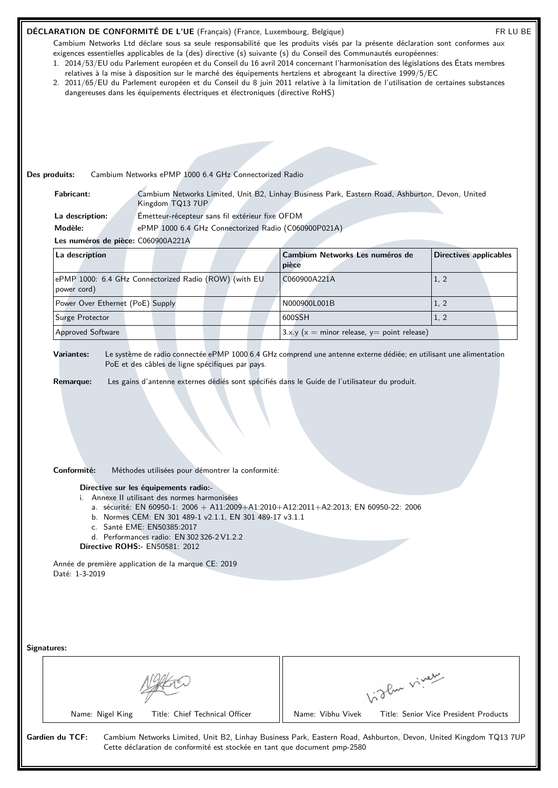| DÉCLARATION DE CONFORMITÉ DE L'UE (Français) (France, Luxembourg, Belgique)          |                                                                                                                                                                                                                                                                                                                             |                                                      | Cambium Networks Ltd déclare sous sa seule responsabilité que les produits visés par la présente déclaration sont conformes aux                                                                                                                                                                                                                                                                                                                                                                               | FR LU BE                              |
|--------------------------------------------------------------------------------------|-----------------------------------------------------------------------------------------------------------------------------------------------------------------------------------------------------------------------------------------------------------------------------------------------------------------------------|------------------------------------------------------|---------------------------------------------------------------------------------------------------------------------------------------------------------------------------------------------------------------------------------------------------------------------------------------------------------------------------------------------------------------------------------------------------------------------------------------------------------------------------------------------------------------|---------------------------------------|
|                                                                                      | dangereuses dans les équipements électriques et électroniques (directive RoHS)                                                                                                                                                                                                                                              |                                                      | exigences essentielles applicables de la (des) directive (s) suivante (s) du Conseil des Communautés européennes:<br>1. 2014/53/EU odu Parlement européen et du Conseil du 16 avril 2014 concernant l'harmonisation des législations des États membres<br>relatives à la mise à disposition sur le marché des équipements hertziens et abrogeant la directive 1999/5/EC<br>2. 2011/65/EU du Parlement européen et du Conseil du 8 juin 2011 relative à la limitation de l'utilisation de certaines substances |                                       |
|                                                                                      |                                                                                                                                                                                                                                                                                                                             |                                                      |                                                                                                                                                                                                                                                                                                                                                                                                                                                                                                               |                                       |
|                                                                                      |                                                                                                                                                                                                                                                                                                                             |                                                      |                                                                                                                                                                                                                                                                                                                                                                                                                                                                                                               |                                       |
|                                                                                      |                                                                                                                                                                                                                                                                                                                             |                                                      |                                                                                                                                                                                                                                                                                                                                                                                                                                                                                                               |                                       |
| Des produits:                                                                        | Cambium Networks ePMP 1000 6.4 GHz Connectorized Radio                                                                                                                                                                                                                                                                      |                                                      |                                                                                                                                                                                                                                                                                                                                                                                                                                                                                                               |                                       |
| <b>Fabricant:</b>                                                                    | Kingdom TQ13 7UP                                                                                                                                                                                                                                                                                                            |                                                      | Cambium Networks Limited, Unit B2, Linhay Business Park, Eastern Road, Ashburton, Devon, United                                                                                                                                                                                                                                                                                                                                                                                                               |                                       |
| La description:                                                                      |                                                                                                                                                                                                                                                                                                                             | Émetteur-récepteur sans fil extérieur fixe OFDM      |                                                                                                                                                                                                                                                                                                                                                                                                                                                                                                               |                                       |
| Modèle:                                                                              |                                                                                                                                                                                                                                                                                                                             | ePMP 1000 6.4 GHz Connectorized Radio (C060900P021A) |                                                                                                                                                                                                                                                                                                                                                                                                                                                                                                               |                                       |
| Les numéros de pièce: C060900A221A                                                   |                                                                                                                                                                                                                                                                                                                             |                                                      |                                                                                                                                                                                                                                                                                                                                                                                                                                                                                                               |                                       |
| La description                                                                       |                                                                                                                                                                                                                                                                                                                             |                                                      | Cambium Networks Les numéros de<br>pièce                                                                                                                                                                                                                                                                                                                                                                                                                                                                      | <b>Directives applicables</b>         |
| power cord)                                                                          | ePMP 1000: 6.4 GHz Connectorized Radio (ROW) (with EU                                                                                                                                                                                                                                                                       |                                                      | C060900A221A                                                                                                                                                                                                                                                                                                                                                                                                                                                                                                  | 1, 2                                  |
| Power Over Ethernet (PoE) Supply                                                     |                                                                                                                                                                                                                                                                                                                             |                                                      | N000900L001B                                                                                                                                                                                                                                                                                                                                                                                                                                                                                                  | 1, 2                                  |
| Surge Protector                                                                      |                                                                                                                                                                                                                                                                                                                             |                                                      | 600SSH                                                                                                                                                                                                                                                                                                                                                                                                                                                                                                        | 1, 2                                  |
| Approved Software                                                                    |                                                                                                                                                                                                                                                                                                                             |                                                      | 3.x.y ( $x =$ minor release, $y =$ point release)                                                                                                                                                                                                                                                                                                                                                                                                                                                             |                                       |
| Conformité:<br>Année de première application de la marque CE: 2019<br>Daté: 1-3-2019 | Méthodes utilisées pour démontrer la conformité:<br>Directive sur les équipements radio:-<br>i. Annexe II utilisant des normes harmonisées<br>b. Normes CEM: EN 301 489-1 v2.1.1, EN 301 489-17 v3.1.1<br>c. Santé EME: EN50385:2017<br>d. Performances radio: EN 302 326-2 V1.2.2<br><b>Directive ROHS:- EN50581: 2012</b> |                                                      | a. sécurité: EN 60950-1: 2006 + A11:2009+A1:2010+A12:2011+A2:2013; EN 60950-22: 2006                                                                                                                                                                                                                                                                                                                                                                                                                          |                                       |
| Signatures:                                                                          |                                                                                                                                                                                                                                                                                                                             |                                                      | Vidley viner                                                                                                                                                                                                                                                                                                                                                                                                                                                                                                  |                                       |
| Name: Nigel King                                                                     | Title: Chief Technical Officer                                                                                                                                                                                                                                                                                              |                                                      | Name: Vibhu Vivek                                                                                                                                                                                                                                                                                                                                                                                                                                                                                             | Title: Senior Vice President Products |
| Gardien du TCF:                                                                      |                                                                                                                                                                                                                                                                                                                             |                                                      | Cambium Networks Limited, Unit B2, Linhay Business Park, Eastern Road, Ashburton, Devon, United Kingdom TQ13 7UP<br>Cette déclaration de conformité est stockée en tant que document pmp-2580                                                                                                                                                                                                                                                                                                                 |                                       |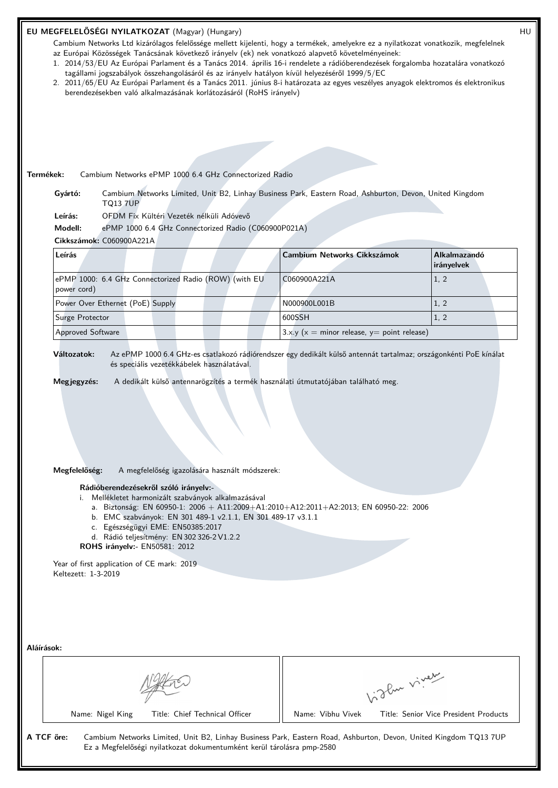## **EU MEGFELELŐSÉGI NYILATKOZAT** (Magyar) (Hungary) HU

Cambium Networks Ltd kizárólagos felelőssége mellett kijelenti, hogy a termékek, amelyekre ez a nyilatkozat vonatkozik, megfelelnek az Európai Közösségek Tanácsának következő irányelv (ek) nek vonatkozó alapvető követelményeinek:

- 1. 2014/53/EU Az Európai Parlament és a Tanács 2014. április 16-i rendelete a rádióberendezések forgalomba hozatalára vonatkozó tagállami jogszabályok összehangolásáról és az irányelv hatályon kívül helyezéséről 1999/5/EC
- 2. 2011/65/EU Az Európai Parlament és a Tanács 2011. június 8-i határozata az egyes veszélyes anyagok elektromos és elektronikus berendezésekben való alkalmazásának korlátozásáról (RoHS irányelv)

**Termékek:** Cambium Networks ePMP 1000 6.4 GHz Connectorized Radio

**Gyártó:** Cambium Networks Limited, Unit B2, Linhay Business Park, Eastern Road, Ashburton, Devon, United Kingdom TQ13 7UP

**Leírás:** OFDM Fix Kültéri Vezeték nélküli Adóvevő

**Modell:** ePMP 1000 6.4 GHz Connectorized Radio (C060900P021A)

# **Cikkszámok:** C060900A221A

| Leírás                                                               | <b>Cambium Networks Cikkszámok</b>            | <b>Alkalmazandó</b><br><i>irányelvek</i> |
|----------------------------------------------------------------------|-----------------------------------------------|------------------------------------------|
| ePMP 1000: 6.4 GHz Connectorized Radio (ROW) (with EU<br>power cord) | C060900A221A                                  | 1, 2                                     |
| Power Over Ethernet (PoE) Supply                                     | N000900L001B                                  | 1, 2                                     |
| Surge Protector                                                      | 600SSH                                        | 1, 2                                     |
| <b>Approved Software</b>                                             | $3.x.y(x = minor release, y = point release)$ |                                          |

**Változatok:** Az ePMP 1000 6.4 GHz-es csatlakozó rádiórendszer egy dedikált külső antennát tartalmaz; országonkénti PoE kínálat és speciális vezetékkábelek használatával.

**Megjegyzés:** A dedikált külső antennarögzítés a termék használati útmutatójában található meg.

## **Megfelelőség:** A megfelelőség igazolására használt módszerek:

#### **Rádióberendezésekről szóló irányelv:-**

- i. Mellékletet harmonizált szabványok alkalmazásával
	- a. Biztonság: EN 60950-1: 2006 + A11:2009+A1:2010+A12:2011+A2:2013; EN 60950-22: 2006
	- b. EMC szabványok: EN 301 489-1 v2.1.1, EN 301 489-17 v3.1.1
	- c. Egészségügyi EME: EN50385:2017
	- d. Rádió teljesítmény: EN 302 326-2 V1.2.2
- **ROHS irányelv:-** EN50581: 2012

Year of first application of CE mark: 2019 Keltezett: 1-3-2019

| Aláírások: |  |  |
|------------|--|--|
|            |  |  |

Name: Nigel King Title: Chief Technical Officer | Name: Vibhu Vivek Title: Senior Vice President Products

Vidley viney

**A TCF őre:** Cambium Networks Limited, Unit B2, Linhay Business Park, Eastern Road, Ashburton, Devon, United Kingdom TQ13 7UP Ez a Megfelelőségi nyilatkozat dokumentumként kerül tárolásra pmp-2580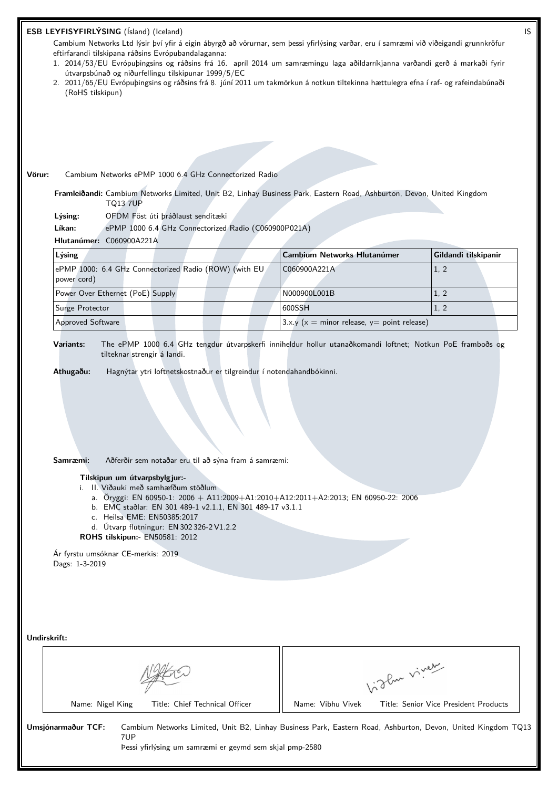| ESB LEYFISYFIRLÝSING (Ísland) (Iceland)                                                                                                                                                                                                                                                                                                                                                                                                                                                                                                      |                                               | IS                                    |  |  |  |
|----------------------------------------------------------------------------------------------------------------------------------------------------------------------------------------------------------------------------------------------------------------------------------------------------------------------------------------------------------------------------------------------------------------------------------------------------------------------------------------------------------------------------------------------|-----------------------------------------------|---------------------------------------|--|--|--|
| Cambium Networks Ltd lýsir því yfir á eigin ábyrgð að vörurnar, sem þessi yfirlýsing varðar, eru í samræmi við viðeigandi grunnkröfur<br>eftirfarandi tilskipana ráðsins Evrópubandalaganna:<br>1. 2014/53/EU Evrópuþingsins og ráðsins frá 16. apríl 2014 um samræmingu laga aðildarríkjanna varðandi gerð á markaði fyrir<br>útvarpsbúnað og niðurfellingu tilskipunar 1999/5/EC<br>2. 2011/65/EU Evrópuþingsins og ráðsins frá 8. júní 2011 um takmörkun á notkun tiltekinna hættulegra efna í raf- og rafeindabúnaði<br>(RoHS tilskipun) |                                               |                                       |  |  |  |
|                                                                                                                                                                                                                                                                                                                                                                                                                                                                                                                                              |                                               |                                       |  |  |  |
|                                                                                                                                                                                                                                                                                                                                                                                                                                                                                                                                              |                                               |                                       |  |  |  |
|                                                                                                                                                                                                                                                                                                                                                                                                                                                                                                                                              |                                               |                                       |  |  |  |
|                                                                                                                                                                                                                                                                                                                                                                                                                                                                                                                                              |                                               |                                       |  |  |  |
| Cambium Networks ePMP 1000 6.4 GHz Connectorized Radio<br>Vörur:                                                                                                                                                                                                                                                                                                                                                                                                                                                                             |                                               |                                       |  |  |  |
| Framleiðandi: Cambium Networks Limited, Unit B2, Linhay Business Park, Eastern Road, Ashburton, Devon, United Kingdom<br><b>TQ13 7UP</b>                                                                                                                                                                                                                                                                                                                                                                                                     |                                               |                                       |  |  |  |
| OFDM Föst úti þráðlaust senditæki<br>Lýsing:                                                                                                                                                                                                                                                                                                                                                                                                                                                                                                 |                                               |                                       |  |  |  |
| Líkan:<br>ePMP 1000 6.4 GHz Connectorized Radio (C060900P021A)                                                                                                                                                                                                                                                                                                                                                                                                                                                                               |                                               |                                       |  |  |  |
| Hlutanúmer: C060900A221A                                                                                                                                                                                                                                                                                                                                                                                                                                                                                                                     |                                               |                                       |  |  |  |
| Lýsing                                                                                                                                                                                                                                                                                                                                                                                                                                                                                                                                       | <b>Cambium Networks Hlutanúmer</b>            | Gildandi tilskipanir                  |  |  |  |
| ePMP 1000: 6.4 GHz Connectorized Radio (ROW) (with EU<br>power cord)                                                                                                                                                                                                                                                                                                                                                                                                                                                                         | C060900A221A                                  | 1, 2                                  |  |  |  |
| Power Over Ethernet (PoE) Supply                                                                                                                                                                                                                                                                                                                                                                                                                                                                                                             | N000900L001B                                  | 1, 2                                  |  |  |  |
| Surge Protector                                                                                                                                                                                                                                                                                                                                                                                                                                                                                                                              | 600SSH                                        | 1, 2                                  |  |  |  |
| Approved Software                                                                                                                                                                                                                                                                                                                                                                                                                                                                                                                            | $3.x.y(x = minor release, y = point release)$ |                                       |  |  |  |
| Samræmi:<br>Aðferðir sem notaðar eru til að sýna fram á samræmi:<br>Tilskipun um útvarpsbylgjur:-<br>i. II. Viðauki með samhæfðum stöðlum<br>a. Öryggi: EN 60950-1: 2006 + A11:2009+A1:2010+A12:2011+A2:2013; EN 60950-22: 2006<br>b. EMC staðlar: EN 301 489-1 v2.1.1, EN 301 489-17 v3.1.1<br>c. Heilsa EME: EN50385:2017<br>d. Útvarp flutningur: EN 302 326-2 V1.2.2<br>ROHS tilskipun:- EN50581: 2012                                                                                                                                   |                                               |                                       |  |  |  |
| Ár fyrstu umsóknar CE-merkis: 2019<br>Dags: 1-3-2019                                                                                                                                                                                                                                                                                                                                                                                                                                                                                         |                                               |                                       |  |  |  |
|                                                                                                                                                                                                                                                                                                                                                                                                                                                                                                                                              |                                               |                                       |  |  |  |
| Undirskrift:                                                                                                                                                                                                                                                                                                                                                                                                                                                                                                                                 |                                               |                                       |  |  |  |
|                                                                                                                                                                                                                                                                                                                                                                                                                                                                                                                                              |                                               | Vidley vivey                          |  |  |  |
| Name: Nigel King<br>Title: Chief Technical Officer                                                                                                                                                                                                                                                                                                                                                                                                                                                                                           | Name: Vibhu Vivek                             | Title: Senior Vice President Products |  |  |  |
| Umsjónarmaður TCF:<br>Cambium Networks Limited, Unit B2, Linhay Business Park, Eastern Road, Ashburton, Devon, United Kingdom TQ13<br>7UP<br>Þessi yfirlýsing um samræmi er geymd sem skjal pmp-2580                                                                                                                                                                                                                                                                                                                                         |                                               |                                       |  |  |  |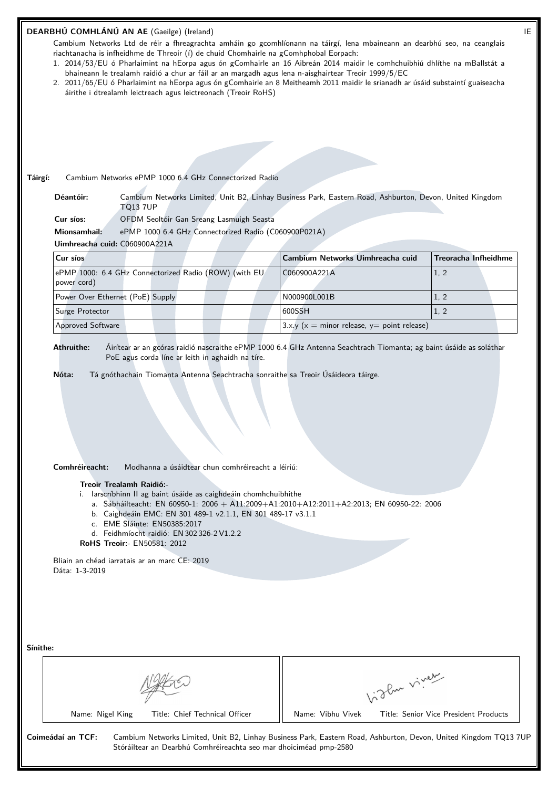|                               |                                  | DEARBHÚ COMHLÁNÚ AN AE (Gaeilge) (Ireland)                                                                                                                                                                                                                                                                                                                                             |                                                                                                                                                                                                                    | IE                                                                                                                                                                        |
|-------------------------------|----------------------------------|----------------------------------------------------------------------------------------------------------------------------------------------------------------------------------------------------------------------------------------------------------------------------------------------------------------------------------------------------------------------------------------|--------------------------------------------------------------------------------------------------------------------------------------------------------------------------------------------------------------------|---------------------------------------------------------------------------------------------------------------------------------------------------------------------------|
|                               |                                  |                                                                                                                                                                                                                                                                                                                                                                                        | Cambium Networks Ltd de réir a fhreagrachta amháin go gcomhlíonann na táirgí, lena mbaineann an dearbhú seo, na ceanglais                                                                                          |                                                                                                                                                                           |
|                               |                                  |                                                                                                                                                                                                                                                                                                                                                                                        | riachtanacha is infheidhme de Threoir (í) de chuid Chomhairle na gComhphobal Eorpach:<br>1. 2014/53/EU ó Pharlaimint na hEorpa agus ón gComhairle an 16 Aibreán 2014 maidir le comhchuibhiú dhlíthe na mBallstát a |                                                                                                                                                                           |
|                               |                                  |                                                                                                                                                                                                                                                                                                                                                                                        | bhaineann le trealamh raidió a chur ar fáil ar an margadh agus lena n-aisghairtear Treoir 1999/5/EC                                                                                                                |                                                                                                                                                                           |
|                               |                                  | áirithe i dtrealamh leictreach agus leictreonach (Treoir RoHS)                                                                                                                                                                                                                                                                                                                         | 2. 2011/65/EU ó Pharlaimint na hEorpa agus ón gComhairle an 8 Meitheamh 2011 maidir le srianadh ar úsáid substaintí guaiseacha                                                                                     |                                                                                                                                                                           |
|                               |                                  |                                                                                                                                                                                                                                                                                                                                                                                        |                                                                                                                                                                                                                    |                                                                                                                                                                           |
|                               |                                  |                                                                                                                                                                                                                                                                                                                                                                                        |                                                                                                                                                                                                                    |                                                                                                                                                                           |
|                               |                                  |                                                                                                                                                                                                                                                                                                                                                                                        |                                                                                                                                                                                                                    |                                                                                                                                                                           |
|                               |                                  |                                                                                                                                                                                                                                                                                                                                                                                        |                                                                                                                                                                                                                    |                                                                                                                                                                           |
|                               |                                  |                                                                                                                                                                                                                                                                                                                                                                                        |                                                                                                                                                                                                                    |                                                                                                                                                                           |
| Táirgí:                       |                                  | Cambium Networks ePMP 1000 6.4 GHz Connectorized Radio                                                                                                                                                                                                                                                                                                                                 |                                                                                                                                                                                                                    |                                                                                                                                                                           |
|                               | Déantóir:                        |                                                                                                                                                                                                                                                                                                                                                                                        | Cambium Networks Limited, Unit B2, Linhay Business Park, Eastern Road, Ashburton, Devon, United Kingdom                                                                                                            |                                                                                                                                                                           |
|                               |                                  | <b>TQ13 7UP</b>                                                                                                                                                                                                                                                                                                                                                                        |                                                                                                                                                                                                                    |                                                                                                                                                                           |
|                               | Cur síos:                        | OFDM Seoltóir Gan Sreang Lasmuigh Seasta                                                                                                                                                                                                                                                                                                                                               |                                                                                                                                                                                                                    |                                                                                                                                                                           |
|                               | Mionsamhail:                     | ePMP 1000 6.4 GHz Connectorized Radio (C060900P021A)                                                                                                                                                                                                                                                                                                                                   |                                                                                                                                                                                                                    |                                                                                                                                                                           |
|                               |                                  | Uimhreacha cuid: C060900A221A                                                                                                                                                                                                                                                                                                                                                          |                                                                                                                                                                                                                    |                                                                                                                                                                           |
|                               | Cur síos                         |                                                                                                                                                                                                                                                                                                                                                                                        | Cambium Networks Uimhreacha cuid                                                                                                                                                                                   | <b>Treoracha Infheidhme</b>                                                                                                                                               |
|                               |                                  | ePMP 1000: 6.4 GHz Connectorized Radio (ROW) (with EU                                                                                                                                                                                                                                                                                                                                  | C060900A221A                                                                                                                                                                                                       | 1, 2                                                                                                                                                                      |
|                               | power cord)                      |                                                                                                                                                                                                                                                                                                                                                                                        |                                                                                                                                                                                                                    |                                                                                                                                                                           |
|                               |                                  | Power Over Ethernet (PoE) Supply                                                                                                                                                                                                                                                                                                                                                       | N000900L001B                                                                                                                                                                                                       | 1, 2                                                                                                                                                                      |
|                               | Surge Protector                  |                                                                                                                                                                                                                                                                                                                                                                                        | 600SSH                                                                                                                                                                                                             | 1, 2                                                                                                                                                                      |
|                               | Approved Software                |                                                                                                                                                                                                                                                                                                                                                                                        | $3.x.y(x = minor release, y = point release)$                                                                                                                                                                      |                                                                                                                                                                           |
|                               | Comhréireacht:<br>Dáta: 1-3-2019 | Modhanna a úsáidtear chun comhréireacht a léiriú:<br>Treoir Trealamh Raidió:-<br>i. larscríbhinn II ag baint úsáide as caighdeáin chomhchuibhithe<br>b. Caighdeáin EMC: EN 301 489-1 v2.1.1, EN 301 489-17 v3.1.1<br>c. EME Sláinte: EN50385:2017<br>d. Feidhmíocht raidió: EN 302 326-2 V1.2.2<br><b>RoHS Treoir:- EN50581: 2012</b><br>Bliain an chéad iarratais ar an marc CE: 2019 | a. Sábháilteacht: EN 60950-1: 2006 + A11:2009+A1:2010+A12:2011+A2:2013; EN 60950-22: 2006                                                                                                                          |                                                                                                                                                                           |
| Sínithe:<br>Coimeádaí an TCF: | Name: Nigel King                 | Title: Chief Technical Officer                                                                                                                                                                                                                                                                                                                                                         | Name: Vibhu Vivek                                                                                                                                                                                                  | higher viver<br>Title: Senior Vice President Products<br>Cambium Networks Limited, Unit B2, Linhay Business Park, Eastern Road, Ashburton, Devon, United Kingdom TQ13 7UP |
|                               |                                  |                                                                                                                                                                                                                                                                                                                                                                                        | Stóráiltear an Dearbhú Comhréireachta seo mar dhoiciméad pmp-2580                                                                                                                                                  |                                                                                                                                                                           |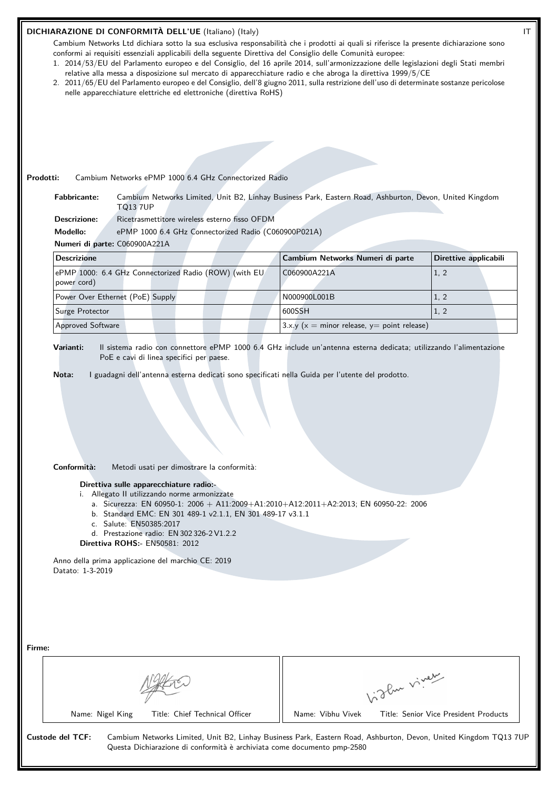## **DICHIARAZIONE DI CONFORMITÀ DELL'UE** (Italiano) (Italy) **IT**

Cambium Networks Ltd dichiara sotto la sua esclusiva responsabilità che i prodotti ai quali si riferisce la presente dichiarazione sono conformi ai requisiti essenziali applicabili della seguente Direttiva del Consiglio delle Comunità europee:

- 1. 2014/53/EU del Parlamento europeo e del Consiglio, del 16 aprile 2014, sull'armonizzazione delle legislazioni degli Stati membri relative alla messa a disposizione sul mercato di apparecchiature radio e che abroga la direttiva 1999/5/CE
- 2. 2011/65/EU del Parlamento europeo e del Consiglio, dell'8 giugno 2011, sulla restrizione dell'uso di determinate sostanze pericolose nelle apparecchiature elettriche ed elettroniche (direttiva RoHS)

| Cambium Networks Limited, Unit B2, Linhay Business Park, Eastern Road, Ashburton, Devon, United Kingdom<br><b>Fabbricante:</b><br><b>TQ13 7UP</b>                                                                                                                                                           |                                                   |             |                       |  |
|-------------------------------------------------------------------------------------------------------------------------------------------------------------------------------------------------------------------------------------------------------------------------------------------------------------|---------------------------------------------------|-------------|-----------------------|--|
| <b>Descrizione:</b><br>Ricetrasmettitore wireless esterno fisso OFDM                                                                                                                                                                                                                                        |                                                   |             |                       |  |
| Modello:<br>ePMP 1000 6.4 GHz Connectorized Radio (C060900P021A)                                                                                                                                                                                                                                            |                                                   |             |                       |  |
| Numeri di parte: C060900A221A                                                                                                                                                                                                                                                                               |                                                   |             |                       |  |
| <b>Descrizione</b>                                                                                                                                                                                                                                                                                          | Cambium Networks Numeri di parte                  |             | Direttive applicabili |  |
| ePMP 1000: 6.4 GHz Connectorized Radio (ROW) (with EU<br>power cord)                                                                                                                                                                                                                                        | C060900A221A                                      |             | 1, 2                  |  |
| Power Over Ethernet (PoE) Supply                                                                                                                                                                                                                                                                            | N000900L001B                                      |             | 1, 2                  |  |
| Surge Protector                                                                                                                                                                                                                                                                                             | 600SSH                                            |             | 1, 2                  |  |
| <b>Approved Software</b>                                                                                                                                                                                                                                                                                    | 3.x.y ( $x =$ minor release, $y =$ point release) |             |                       |  |
|                                                                                                                                                                                                                                                                                                             |                                                   |             |                       |  |
| Conformità:<br>Metodi usati per dimostrare la conformità:<br>Direttiva sulle apparecchiature radio:-<br>i. Allegato II utilizzando norme armonizzate<br>a. Sicurezza: EN 60950-1: 2006 + A11:2009+A1:2010+A12:2011+A2:2013; EN 60950-22: 2006<br>b. Standard EMC: EN 301 489-1 v2.1.1, EN 301 489-17 v3.1.1 |                                                   |             |                       |  |
| c. Salute: EN50385:2017                                                                                                                                                                                                                                                                                     |                                                   |             |                       |  |
| d. Prestazione radio: EN 302 326-2 V1.2.2<br>Direttiva ROHS: EN50581: 2012                                                                                                                                                                                                                                  |                                                   |             |                       |  |
| Anno della prima applicazione del marchio CE: 2019<br>Datato: 1-3-2019                                                                                                                                                                                                                                      |                                                   |             |                       |  |
|                                                                                                                                                                                                                                                                                                             |                                                   |             |                       |  |
|                                                                                                                                                                                                                                                                                                             |                                                   |             |                       |  |
|                                                                                                                                                                                                                                                                                                             |                                                   | Light viver |                       |  |

Questa Dichiarazione di conformità è archiviata come documento pmp-2580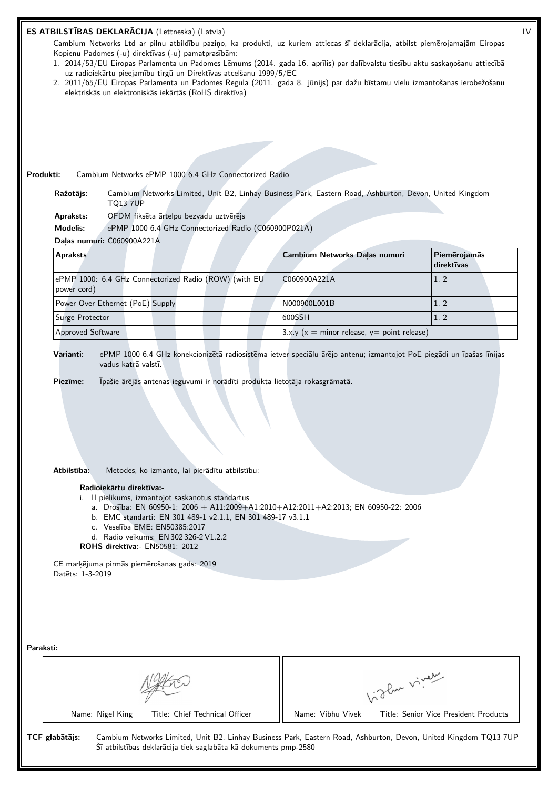|           |                                                                                                | ES ATBILSTĪBAS DEKLARĀCIJA (Lettneska) (Latvia)                                                                                                                                                                                                                                                                                                                                                                    |                                                                                                                                                                                                             | LV                                    |
|-----------|------------------------------------------------------------------------------------------------|--------------------------------------------------------------------------------------------------------------------------------------------------------------------------------------------------------------------------------------------------------------------------------------------------------------------------------------------------------------------------------------------------------------------|-------------------------------------------------------------------------------------------------------------------------------------------------------------------------------------------------------------|---------------------------------------|
|           |                                                                                                | Kopienu Padomes (-u) direktīvas (-u) pamatprasībām:                                                                                                                                                                                                                                                                                                                                                                | Cambium Networks Ltd ar pilnu atbildību paziņo, ka produkti, uz kuriem attiecas šī deklarācija, atbilst piemērojamajām Eiropas                                                                              |                                       |
|           |                                                                                                |                                                                                                                                                                                                                                                                                                                                                                                                                    | 1. 2014/53/EU Eiropas Parlamenta un Padomes Lēmums (2014. gada 16. aprīlis) par dalībvalstu tiesību aktu saskaņošanu attiecībā                                                                              |                                       |
|           |                                                                                                | uz radioiekārtu pieejamību tirgū un Direktīvas atcelšanu 1999/5/EC                                                                                                                                                                                                                                                                                                                                                 | 2. 2011/65/EU Eiropas Parlamenta un Padomes Regula (2011. gada 8. jūnijs) par dažu bīstamu vielu izmantošanas ierobežošanu                                                                                  |                                       |
|           |                                                                                                | elektriskās un elektroniskās iekārtās (RoHS direktīva)                                                                                                                                                                                                                                                                                                                                                             |                                                                                                                                                                                                             |                                       |
|           |                                                                                                |                                                                                                                                                                                                                                                                                                                                                                                                                    |                                                                                                                                                                                                             |                                       |
|           |                                                                                                |                                                                                                                                                                                                                                                                                                                                                                                                                    |                                                                                                                                                                                                             |                                       |
|           |                                                                                                |                                                                                                                                                                                                                                                                                                                                                                                                                    |                                                                                                                                                                                                             |                                       |
|           |                                                                                                |                                                                                                                                                                                                                                                                                                                                                                                                                    |                                                                                                                                                                                                             |                                       |
| Produkti: |                                                                                                | Cambium Networks ePMP 1000 6.4 GHz Connectorized Radio                                                                                                                                                                                                                                                                                                                                                             |                                                                                                                                                                                                             |                                       |
|           | Ražotājs:<br><b>TQ13 7UP</b>                                                                   |                                                                                                                                                                                                                                                                                                                                                                                                                    | Cambium Networks Limited, Unit B2, Linhay Business Park, Eastern Road, Ashburton, Devon, United Kingdom                                                                                                     |                                       |
|           | Apraksts:                                                                                      | OFDM fiksēta ārtelpu bezvadu uztvērējs                                                                                                                                                                                                                                                                                                                                                                             |                                                                                                                                                                                                             |                                       |
|           | <b>Modelis:</b>                                                                                | ePMP 1000 6.4 GHz Connectorized Radio (C060900P021A)                                                                                                                                                                                                                                                                                                                                                               |                                                                                                                                                                                                             |                                       |
|           | Daļas numuri: C060900A221A                                                                     |                                                                                                                                                                                                                                                                                                                                                                                                                    |                                                                                                                                                                                                             |                                       |
|           | <b>Apraksts</b>                                                                                |                                                                                                                                                                                                                                                                                                                                                                                                                    | Cambium Networks Dalas numuri                                                                                                                                                                               | Piemērojamās<br>direktīvas            |
|           | power cord)                                                                                    | ePMP 1000: 6.4 GHz Connectorized Radio (ROW) (with EU                                                                                                                                                                                                                                                                                                                                                              | C060900A221A                                                                                                                                                                                                | 1, 2                                  |
|           | Power Over Ethernet (PoE) Supply                                                               |                                                                                                                                                                                                                                                                                                                                                                                                                    | N000900L001B                                                                                                                                                                                                | 1, 2                                  |
|           | Surge Protector                                                                                |                                                                                                                                                                                                                                                                                                                                                                                                                    | 600SSH                                                                                                                                                                                                      | 1, 2                                  |
|           | Approved Software                                                                              |                                                                                                                                                                                                                                                                                                                                                                                                                    | $3.x.y(x = minor release, y = point release)$                                                                                                                                                               |                                       |
|           | vadus katrā valstī.<br>Piezīme:<br>Atbilstība:<br>Radioiekārtu direktīva:-<br>Datets: 1-3-2019 | Īpašie ārējās antenas ieguvumi ir norādīti produkta lietotāja rokasgrāmatā.<br>Metodes, ko izmanto, lai pierādītu atbilstību:<br>i. Il pielikums, izmantojot saskaņotus standartus<br>b. EMC standarti: EN 301 489-1 v2.1.1, EN 301 489-17 v3.1.1<br>c. Veselība EME: EN50385:2017<br>d. Radio veikums: EN 302 326-2 V1.2.2<br><b>ROHS direktīva:</b> EN50581: 2012<br>CE marķējuma pirmās piemērošanas gads: 2019 | ePMP 1000 6.4 GHz konekcionizētā radiosistēma ietver speciālu ārējo antenu; izmantojot PoE piegādi un īpašas līnijas<br>a. Drošība: EN 60950-1: 2006 + A11:2009+A1:2010+A12:2011+A2:2013; EN 60950-22: 2006 |                                       |
| Paraksti: |                                                                                                |                                                                                                                                                                                                                                                                                                                                                                                                                    |                                                                                                                                                                                                             |                                       |
|           |                                                                                                |                                                                                                                                                                                                                                                                                                                                                                                                                    | Vight vivey                                                                                                                                                                                                 |                                       |
|           | Name: Nigel King                                                                               | Title: Chief Technical Officer                                                                                                                                                                                                                                                                                                                                                                                     | Name: Vibhu Vivek                                                                                                                                                                                           | Title: Senior Vice President Products |
|           | TCF glabātājs:                                                                                 | Šī atbilstības deklarācija tiek saglabāta kā dokuments pmp-2580                                                                                                                                                                                                                                                                                                                                                    | Cambium Networks Limited, Unit B2, Linhay Business Park, Eastern Road, Ashburton, Devon, United Kingdom TQ13 7UP                                                                                            |                                       |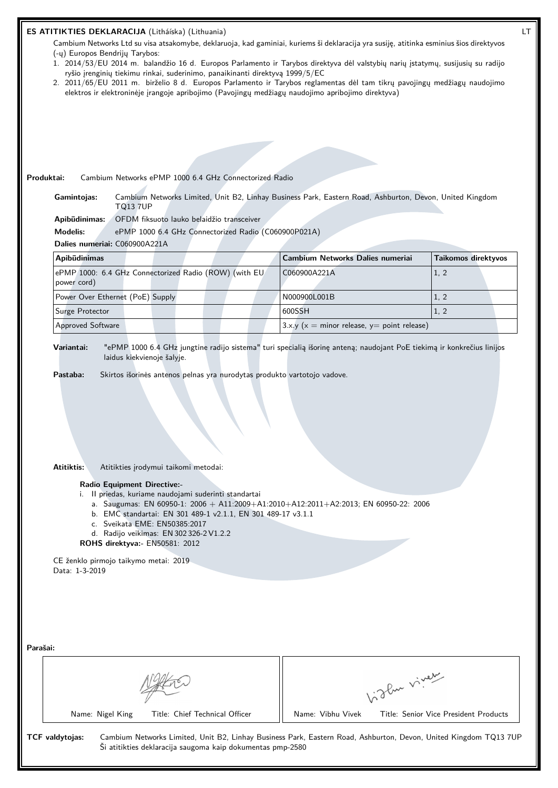| (-y) Europos Bendrijy Tarybos:   | ES ATITIKTIES DEKLARACIJA (Litháíska) (Lithuania)<br>ryšio įrenginių tiekimu rinkai, suderinimo, panaikinanti direktyvą 1999/5/EC                                                                                                    | Cambium Networks Ltd su visa atsakomybe, deklaruoja, kad gaminiai, kuriems ši deklaracija yra susiję, atitinka esminius šios direktyvos<br>1. 2014/53/EU 2014 m. balandžio 16 d. Europos Parlamento ir Tarybos direktyva dėl valstybių narių įstatymų, susijusių su radijo<br>2. 2011/65/EU 2011 m. birželio 8 d. Europos Parlamento ir Tarybos reglamentas dėl tam tikrų pavojingų medžiagų naudojimo<br>elektros ir elektroninėje įrangoje apribojimo (Pavojingų medžiagų naudojimo apribojimo direktyva) |             |                                       |
|----------------------------------|--------------------------------------------------------------------------------------------------------------------------------------------------------------------------------------------------------------------------------------|-------------------------------------------------------------------------------------------------------------------------------------------------------------------------------------------------------------------------------------------------------------------------------------------------------------------------------------------------------------------------------------------------------------------------------------------------------------------------------------------------------------|-------------|---------------------------------------|
|                                  |                                                                                                                                                                                                                                      |                                                                                                                                                                                                                                                                                                                                                                                                                                                                                                             |             |                                       |
| Produktai:                       | Cambium Networks ePMP 1000 6.4 GHz Connectorized Radio                                                                                                                                                                               |                                                                                                                                                                                                                                                                                                                                                                                                                                                                                                             |             |                                       |
| Gamintojas:                      | <b>TQ13 7UP</b>                                                                                                                                                                                                                      | Cambium Networks Limited, Unit B2, Linhay Business Park, Eastern Road, Ashburton, Devon, United Kingdom                                                                                                                                                                                                                                                                                                                                                                                                     |             |                                       |
| Apibūdinimas:<br><b>Modelis:</b> | OFDM fiksuoto lauko belaidžio transceiver<br>ePMP 1000 6.4 GHz Connectorized Radio (C060900P021A)                                                                                                                                    |                                                                                                                                                                                                                                                                                                                                                                                                                                                                                                             |             |                                       |
| Dalies numeriai: C060900A221A    |                                                                                                                                                                                                                                      |                                                                                                                                                                                                                                                                                                                                                                                                                                                                                                             |             |                                       |
| Apibūdinimas                     |                                                                                                                                                                                                                                      | Cambium Networks Dalies numeriai                                                                                                                                                                                                                                                                                                                                                                                                                                                                            |             | <b>Taikomos direktyvos</b>            |
| power cord)                      | ePMP 1000: 6.4 GHz Connectorized Radio (ROW) (with EU                                                                                                                                                                                | C060900A221A                                                                                                                                                                                                                                                                                                                                                                                                                                                                                                |             | 1, 2                                  |
| Power Over Ethernet (PoE) Supply |                                                                                                                                                                                                                                      | N000900L001B                                                                                                                                                                                                                                                                                                                                                                                                                                                                                                |             | 1, 2                                  |
| Surge Protector                  |                                                                                                                                                                                                                                      | 600SSH                                                                                                                                                                                                                                                                                                                                                                                                                                                                                                      |             | 1, 2                                  |
| Approved Software                |                                                                                                                                                                                                                                      | 3.x.y ( $x =$ minor release, $y =$ point release)                                                                                                                                                                                                                                                                                                                                                                                                                                                           |             |                                       |
| Atitiktis:                       | Atitikties įrodymui taikomi metodai:<br><b>Radio Equipment Directive:-</b><br>i. Il priedas, kuriame naudojami suderinti standartai<br>b. EMC standartai: EN 301 489-1 v2.1.1, EN 301 489-17 v3.1.1<br>c. Sveikata EME: EN50385:2017 | a. Saugumas: EN 60950-1: 2006 + A11:2009+A1:2010+A12:2011+A2:2013; EN 60950-22: 2006                                                                                                                                                                                                                                                                                                                                                                                                                        |             |                                       |
|                                  | d. Radijo veikimas: EN 302 326-2 V1.2.2<br>ROHS direktyva:- EN50581: 2012                                                                                                                                                            |                                                                                                                                                                                                                                                                                                                                                                                                                                                                                                             |             |                                       |
| Data: 1-3-2019                   | CE ženklo pirmojo taikymo metai: 2019                                                                                                                                                                                                |                                                                                                                                                                                                                                                                                                                                                                                                                                                                                                             |             |                                       |
| Parašai:                         |                                                                                                                                                                                                                                      |                                                                                                                                                                                                                                                                                                                                                                                                                                                                                                             |             |                                       |
|                                  |                                                                                                                                                                                                                                      |                                                                                                                                                                                                                                                                                                                                                                                                                                                                                                             | Light vivey |                                       |
| Name: Nigel King                 | Title: Chief Technical Officer                                                                                                                                                                                                       | Name: Vibhu Vivek                                                                                                                                                                                                                                                                                                                                                                                                                                                                                           |             | Title: Senior Vice President Products |
| <b>TCF</b> valdytojas:           | Ši atitikties deklaracija saugoma kaip dokumentas pmp-2580                                                                                                                                                                           | Cambium Networks Limited, Unit B2, Linhay Business Park, Eastern Road, Ashburton, Devon, United Kingdom TQ13 7UP                                                                                                                                                                                                                                                                                                                                                                                            |             |                                       |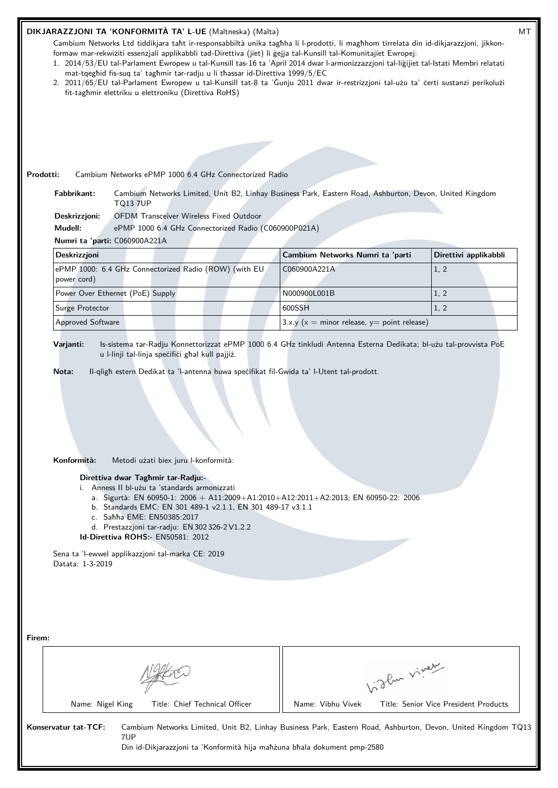| Prodotti:<br>Cambium Networks ePMP 1000 6.4 GHz Connectorized Radio<br>Fabbrikant:<br><b>TQ13 7UP</b><br><b>OFDM Transceiver Wireless Fixed Outdoor</b><br>Deskrizzjoni:<br>Mudell:<br>ePMP 1000 6.4 GHz Connectorized Radio (C060900P021A)<br>Numri ta 'parti: C060900A221A<br><b>Deskrizzjoni</b>                      | Cambium Networks Limited, Unit B2, Linhay Business Park, Eastern Road, Ashburton, Devon, United Kingdom |                       |
|--------------------------------------------------------------------------------------------------------------------------------------------------------------------------------------------------------------------------------------------------------------------------------------------------------------------------|---------------------------------------------------------------------------------------------------------|-----------------------|
|                                                                                                                                                                                                                                                                                                                          |                                                                                                         |                       |
|                                                                                                                                                                                                                                                                                                                          |                                                                                                         |                       |
|                                                                                                                                                                                                                                                                                                                          |                                                                                                         |                       |
|                                                                                                                                                                                                                                                                                                                          |                                                                                                         |                       |
|                                                                                                                                                                                                                                                                                                                          | Cambium Networks Numri ta 'parti                                                                        | Direttivi applikabbli |
| ePMP 1000: 6.4 GHz Connectorized Radio (ROW) (with EU                                                                                                                                                                                                                                                                    | C060900A221A                                                                                            | 1, 2                  |
| power cord)                                                                                                                                                                                                                                                                                                              |                                                                                                         |                       |
| Power Over Ethernet (PoE) Supply                                                                                                                                                                                                                                                                                         | N000900L001B                                                                                            | 1, 2                  |
| Surge Protector<br><b>Approved Software</b>                                                                                                                                                                                                                                                                              | 600SSH<br>3.x.y ( $x =$ minor release, $y =$ point release)                                             | 1, 2                  |
| Konformità:<br>Metodi użati biex juru l-konformità:<br>Direttiva dwar Taghmir tar-Radju:-                                                                                                                                                                                                                                |                                                                                                         |                       |
| i. Anness II bl-użu ta 'standards armonizzati<br>a. Sigurtà: EN 60950-1: 2006 + A11:2009+A1:2010+A12:2011+A2:2013; EN 60950-22: 2006<br>b. Standards EMC: EN 301 489-1 v2.1.1, EN 301 489-17 v3.1.1<br>c. Sahha EME: EN50385:2017<br>d. Prestazzjoni tar-radju: EN 302 326-2 V1.2.2<br>Id-Direttiva ROHS:- EN50581: 2012 |                                                                                                         |                       |
| Sena ta 'l-ewwel applikazzjoni tal-marka CE: 2019<br>Datata: 1-3-2019                                                                                                                                                                                                                                                    |                                                                                                         |                       |
|                                                                                                                                                                                                                                                                                                                          |                                                                                                         |                       |
|                                                                                                                                                                                                                                                                                                                          |                                                                                                         |                       |
| Firem:                                                                                                                                                                                                                                                                                                                   | Like viney                                                                                              |                       |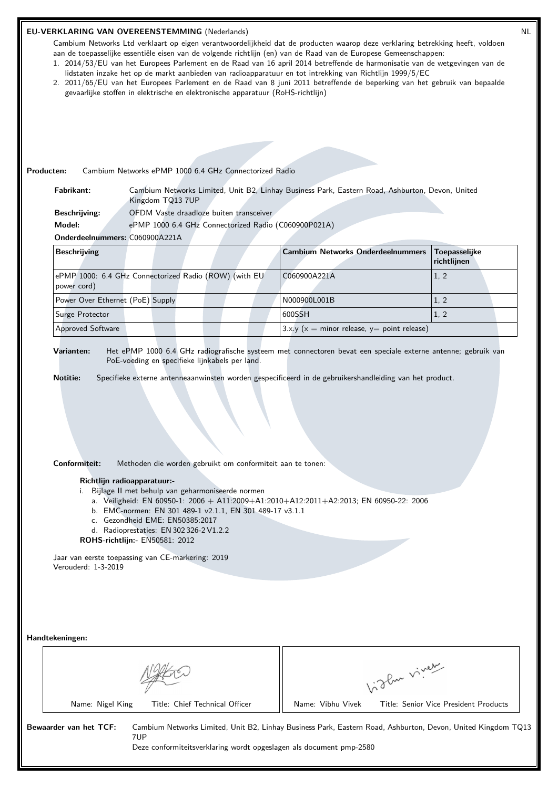|                                      | EU-VERKLARING VAN OVEREENSTEMMING (Nederlands)<br>Cambium Networks Ltd verklaart op eigen verantwoordelijkheid dat de producten waarop deze verklaring betrekking heeft, voldoen<br>aan de toepasselijke essentiële eisen van de volgende richtlijn (en) van de Raad van de Europese Gemeenschappen:<br>1. 2014/53/EU van het Europees Parlement en de Raad van 16 april 2014 betreffende de harmonisatie van de wetgevingen van de<br>lidstaten inzake het op de markt aanbieden van radioapparatuur en tot intrekking van Richtlijn 1999/5/EC<br>2. 2011/65/EU van het Europees Parlement en de Raad van 8 juni 2011 betreffende de beperking van het gebruik van bepaalde<br>gevaarlijke stoffen in elektrische en elektronische apparatuur (RoHS-richtlijn) |                                                   |             | <b>NL</b>                             |
|--------------------------------------|-----------------------------------------------------------------------------------------------------------------------------------------------------------------------------------------------------------------------------------------------------------------------------------------------------------------------------------------------------------------------------------------------------------------------------------------------------------------------------------------------------------------------------------------------------------------------------------------------------------------------------------------------------------------------------------------------------------------------------------------------------------------|---------------------------------------------------|-------------|---------------------------------------|
| Producten:                           | Cambium Networks ePMP 1000 6.4 GHz Connectorized Radio                                                                                                                                                                                                                                                                                                                                                                                                                                                                                                                                                                                                                                                                                                          |                                                   |             |                                       |
| Fabrikant:                           | Cambium Networks Limited, Unit B2, Linhay Business Park, Eastern Road, Ashburton, Devon, United<br>Kingdom TQ13 7UP                                                                                                                                                                                                                                                                                                                                                                                                                                                                                                                                                                                                                                             |                                                   |             |                                       |
| <b>Beschrijving:</b>                 | OFDM Vaste draadloze buiten transceiver                                                                                                                                                                                                                                                                                                                                                                                                                                                                                                                                                                                                                                                                                                                         |                                                   |             |                                       |
| Model:                               | ePMP 1000 6.4 GHz Connectorized Radio (C060900P021A)                                                                                                                                                                                                                                                                                                                                                                                                                                                                                                                                                                                                                                                                                                            |                                                   |             |                                       |
| Onderdeelnummers: C060900A221A       |                                                                                                                                                                                                                                                                                                                                                                                                                                                                                                                                                                                                                                                                                                                                                                 |                                                   |             |                                       |
| <b>Beschrijving</b>                  |                                                                                                                                                                                                                                                                                                                                                                                                                                                                                                                                                                                                                                                                                                                                                                 | <b>Cambium Networks Onderdeelnummers</b>          |             | <b>Toepasselijke</b><br>richtlijnen   |
| power cord)                          | ePMP 1000: 6.4 GHz Connectorized Radio (ROW) (with EU                                                                                                                                                                                                                                                                                                                                                                                                                                                                                                                                                                                                                                                                                                           | C060900A221A                                      |             | 1, 2                                  |
| Power Over Ethernet (PoE) Supply     |                                                                                                                                                                                                                                                                                                                                                                                                                                                                                                                                                                                                                                                                                                                                                                 | N000900L001B                                      |             | 1, 2                                  |
| Surge Protector                      |                                                                                                                                                                                                                                                                                                                                                                                                                                                                                                                                                                                                                                                                                                                                                                 | 600SSH                                            |             | 1, 2                                  |
| <b>Approved Software</b>             |                                                                                                                                                                                                                                                                                                                                                                                                                                                                                                                                                                                                                                                                                                                                                                 | 3.x.y ( $x =$ minor release, $y =$ point release) |             |                                       |
| Conformiteit:<br>Verouderd: 1-3-2019 | Methoden die worden gebruikt om conformiteit aan te tonen:<br>Richtlijn radioapparatuur:-<br>i. Bijlage II met behulp van geharmoniseerde normen<br>a. Veiligheid: EN 60950-1: 2006 + A11:2009+A1:2010+A12:2011+A2:2013; EN 60950-22: 2006<br>b. EMC-normen: EN 301 489-1 v2.1.1, EN 301 489-17 v3.1.1<br>c. Gezondheid EME: EN50385:2017<br>d. Radioprestaties: EN 302 326-2 V1.2.2<br>ROHS-richtlijn:- EN50581: 2012<br>Jaar van eerste toepassing van CE-markering: 2019                                                                                                                                                                                                                                                                                     |                                                   |             |                                       |
| Handtekeningen:<br>Name: Nigel King  | Title: Chief Technical Officer                                                                                                                                                                                                                                                                                                                                                                                                                                                                                                                                                                                                                                                                                                                                  | Name: Vibhu Vivek                                 | Vigla viney | Title: Senior Vice President Products |
| Bewaarder van het TCF:               | Cambium Networks Limited, Unit B2, Linhay Business Park, Eastern Road, Ashburton, Devon, United Kingdom TQ13<br>7UP<br>Deze conformiteitsverklaring wordt opgeslagen als document pmp-2580                                                                                                                                                                                                                                                                                                                                                                                                                                                                                                                                                                      |                                                   |             |                                       |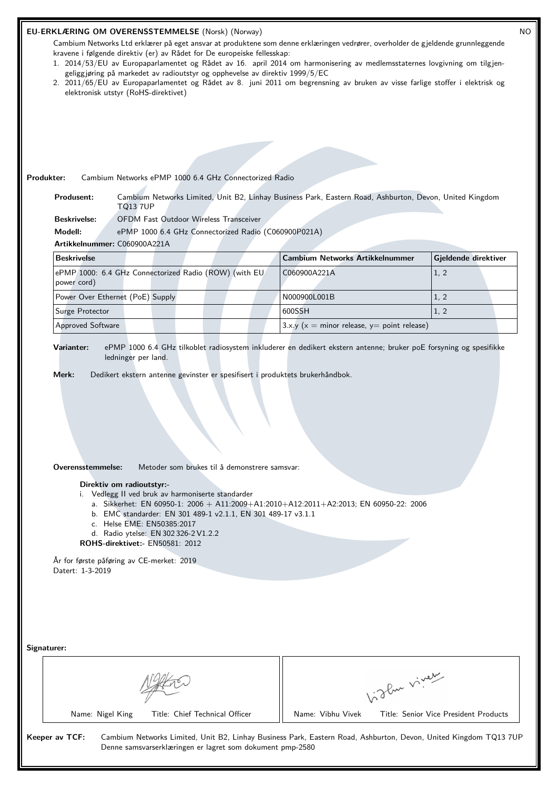| Produkter:                         | elektronisk utstyr (RoHS-direktivet)                                                                                                                                                                                                        | <b>EU-ERKLÆRING OM OVERENSSTEMMELSE (Norsk) (Norway)</b><br>kravene i følgende direktiv (er) av Rådet for De europeiske fellesskap:<br>geliggjøring på markedet av radioutstyr og opphevelse av direktiv 1999/5/EC<br>Cambium Networks ePMP 1000 6.4 GHz Connectorized Radio | Cambium Networks Ltd erklærer på eget ansvar at produktene som denne erklæringen vedrører, overholder de gjeldende grunnleggende<br>1. 2014/53/EU av Europaparlamentet og Rådet av 16. april 2014 om harmonisering av medlemsstaternes lovgivning om tilgjen-<br>2. 2011/65/EU av Europaparlamentet og Rådet av 8. juni 2011 om begrensning av bruken av visse farlige stoffer i elektrisk og |              |                                       | <b>NC</b> |
|------------------------------------|---------------------------------------------------------------------------------------------------------------------------------------------------------------------------------------------------------------------------------------------|------------------------------------------------------------------------------------------------------------------------------------------------------------------------------------------------------------------------------------------------------------------------------|-----------------------------------------------------------------------------------------------------------------------------------------------------------------------------------------------------------------------------------------------------------------------------------------------------------------------------------------------------------------------------------------------|--------------|---------------------------------------|-----------|
| Produsent:                         | <b>TQ13 7UP</b>                                                                                                                                                                                                                             |                                                                                                                                                                                                                                                                              | Cambium Networks Limited, Unit B2, Linhay Business Park, Eastern Road, Ashburton, Devon, United Kingdom                                                                                                                                                                                                                                                                                       |              |                                       |           |
| <b>Beskrivelse:</b>                |                                                                                                                                                                                                                                             | OFDM Fast Outdoor Wireless Transceiver                                                                                                                                                                                                                                       |                                                                                                                                                                                                                                                                                                                                                                                               |              |                                       |           |
| Modell:                            |                                                                                                                                                                                                                                             | ePMP 1000 6.4 GHz Connectorized Radio (C060900P021A)                                                                                                                                                                                                                         |                                                                                                                                                                                                                                                                                                                                                                                               |              |                                       |           |
| Artikkelnummer: C060900A221A       |                                                                                                                                                                                                                                             |                                                                                                                                                                                                                                                                              |                                                                                                                                                                                                                                                                                                                                                                                               |              |                                       |           |
| <b>Beskrivelse</b>                 |                                                                                                                                                                                                                                             |                                                                                                                                                                                                                                                                              | <b>Cambium Networks Artikkelnummer</b>                                                                                                                                                                                                                                                                                                                                                        |              | Gjeldende direktiver                  |           |
| power cord)                        |                                                                                                                                                                                                                                             | ePMP 1000: 6.4 GHz Connectorized Radio (ROW) (with EU                                                                                                                                                                                                                        | C060900A221A                                                                                                                                                                                                                                                                                                                                                                                  |              | 1, 2                                  |           |
| Power Over Ethernet (PoE) Supply   |                                                                                                                                                                                                                                             |                                                                                                                                                                                                                                                                              | N000900L001B                                                                                                                                                                                                                                                                                                                                                                                  |              | 1, 2                                  |           |
| Surge Protector                    |                                                                                                                                                                                                                                             |                                                                                                                                                                                                                                                                              | 600SSH                                                                                                                                                                                                                                                                                                                                                                                        |              | 1, 2                                  |           |
| Approved Software                  |                                                                                                                                                                                                                                             |                                                                                                                                                                                                                                                                              | 3.x.y ( $x =$ minor release, $y =$ point release)                                                                                                                                                                                                                                                                                                                                             |              |                                       |           |
| Merk:<br>Overensstemmelse:         | Direktiv om radioutstyr:-<br>i. Vedlegg II ved bruk av harmoniserte standarder<br>c. Helse EME: EN50385:2017<br>d. Radio ytelse: EN 302 326-2 V1.2.2<br><b>ROHS-direktivet:- EN50581: 2012</b><br>År for første påføring av CE-merket: 2019 | Dedikert ekstern antenne gevinster er spesifisert i produktets brukerhåndbok.<br>Metoder som brukes til å demonstrere samsvar:<br>b. EMC standarder: EN 301 489-1 v2.1.1, EN 301 489-17 v3.1.1                                                                               | a. Sikkerhet: EN 60950-1: 2006 + A11:2009+A1:2010+A12:2011+A2:2013; EN 60950-22: 2006                                                                                                                                                                                                                                                                                                         |              |                                       |           |
| Datert: 1-3-2019<br>Signaturer:    |                                                                                                                                                                                                                                             |                                                                                                                                                                                                                                                                              |                                                                                                                                                                                                                                                                                                                                                                                               | birthe vivey |                                       |           |
| Name: Nigel King<br>Keeper av TCF: |                                                                                                                                                                                                                                             | Title: Chief Technical Officer<br>Denne samsvarserklæringen er lagret som dokument pmp-2580                                                                                                                                                                                  | Name: Vibhu Vivek<br>Cambium Networks Limited, Unit B2, Linhay Business Park, Eastern Road, Ashburton, Devon, United Kingdom TQ13 7UP                                                                                                                                                                                                                                                         |              | Title: Senior Vice President Products |           |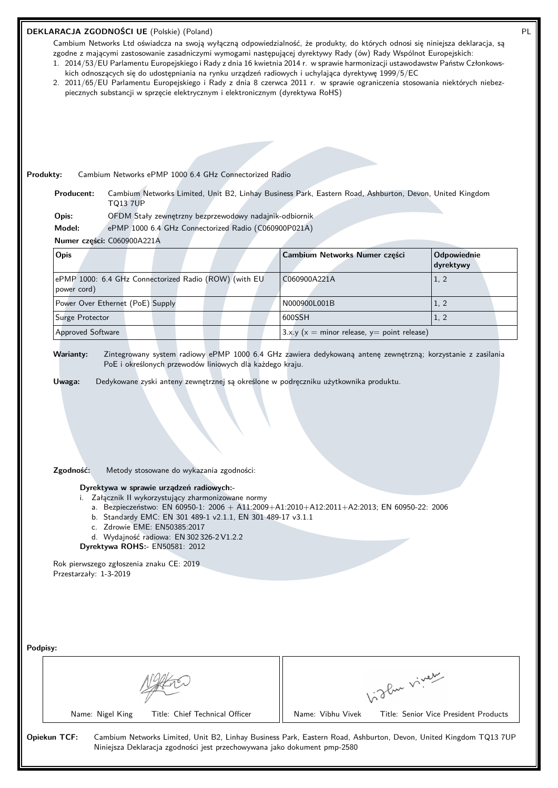|                                | DEKLARACJA ZGODNOŚCI UE (Polskie) (Poland)<br>Cambium Networks Ltd oświadcza na swoją wyłączną odpowiedzialność, że produkty, do których odnosi się niniejsza deklaracja, są<br>zgodne z mającymi zastosowanie zasadniczymi wymogami następującej dyrektywy Rady (ów) Rady Wspólnot Europejskich:<br>1. 2014/53/EU Parlamentu Europejskiego i Rady z dnia 16 kwietnia 2014 r. w sprawie harmonizacji ustawodawstw Państw Członkows-<br>kich odnoszących się do udostępniania na rynku urządzeń radiowych i uchylająca dyrektywę 1999/5/EC<br>2. 2011/65/EU Parlamentu Europejskiego i Rady z dnia 8 czerwca 2011 r. w sprawie ograniczenia stosowania niektórych niebez-<br>piecznych substancji w sprzęcie elektrycznym i elektronicznym (dyrektywa RoHS) |                               |                          |
|--------------------------------|------------------------------------------------------------------------------------------------------------------------------------------------------------------------------------------------------------------------------------------------------------------------------------------------------------------------------------------------------------------------------------------------------------------------------------------------------------------------------------------------------------------------------------------------------------------------------------------------------------------------------------------------------------------------------------------------------------------------------------------------------------|-------------------------------|--------------------------|
| Produkty:<br><b>Producent:</b> | Cambium Networks ePMP 1000 6.4 GHz Connectorized Radio<br>Cambium Networks Limited, Unit B2, Linhay Business Park, Eastern Road, Ashburton, Devon, United Kingdom<br><b>TQ13 7UP</b>                                                                                                                                                                                                                                                                                                                                                                                                                                                                                                                                                                       |                               |                          |
| Opis:                          | OFDM Stały zewnętrzny bezprzewodowy nadajnik-odbiornik                                                                                                                                                                                                                                                                                                                                                                                                                                                                                                                                                                                                                                                                                                     |                               |                          |
| Model:                         | ePMP 1000 6.4 GHz Connectorized Radio (C060900P021A)                                                                                                                                                                                                                                                                                                                                                                                                                                                                                                                                                                                                                                                                                                       |                               |                          |
|                                | Numer cześci: C060900A221A                                                                                                                                                                                                                                                                                                                                                                                                                                                                                                                                                                                                                                                                                                                                 |                               |                          |
| Opis                           |                                                                                                                                                                                                                                                                                                                                                                                                                                                                                                                                                                                                                                                                                                                                                            | Cambium Networks Numer części | Odpowiednie<br>dyrektywy |
| power cord)                    | ePMP 1000: 6.4 GHz Connectorized Radio (ROW) (with EU                                                                                                                                                                                                                                                                                                                                                                                                                                                                                                                                                                                                                                                                                                      | C060900A221A                  | 1, 2                     |
|                                | Power Over Ethernet (PoE) Supply                                                                                                                                                                                                                                                                                                                                                                                                                                                                                                                                                                                                                                                                                                                           | N000900L001B                  | 1, 2                     |
| Surge Protector                |                                                                                                                                                                                                                                                                                                                                                                                                                                                                                                                                                                                                                                                                                                                                                            | 600SSH                        | 1, 2                     |

**Warianty:** Zintegrowany system radiowy ePMP 1000 6.4 GHz zawiera dedykowaną antenę zewnętrzną; korzystanie z zasilania PoE i określonych przewodów liniowych dla każdego kraju.

**Uwaga:** Dedykowane zyski anteny zewnętrznej są określone w podręczniku użytkownika produktu.

Approved Software 3.x.y (x = minor release, y= point release)

**Zgodność:** Metody stosowane do wykazania zgodności:

**Dyrektywa w sprawie urządzeń radiowych:-**

i. Załącznik II wykorzystujący zharmonizowane normy

- a. Bezpieczeństwo: EN 60950-1: 2006 + A11:2009+A1:2010+A12:2011+A2:2013; EN 60950-22: 2006
- b. Standardy EMC: EN 301 489-1 v2.1.1, EN 301 489-17 v3.1.1
- c. Zdrowie EME: EN50385:2017
- d. Wydajność radiowa: EN 302 326-2 V1.2.2

**Dyrektywa ROHS:-** EN50581: 2012

Rok pierwszego zgłoszenia znaku CE: 2019 Przestarzały: 1-3-2019

| Podpisy:     |                  |                                                                          |                   |                                                                                                                  |
|--------------|------------------|--------------------------------------------------------------------------|-------------------|------------------------------------------------------------------------------------------------------------------|
|              |                  |                                                                          |                   | 12 Cur viver                                                                                                     |
|              | Name: Nigel King | Title: Chief Technical Officer                                           | Name: Vibhu Vivek | Title: Senior Vice President Products                                                                            |
| Opiekun TCF: |                  | Niniejsza Deklaracja zgodności jest przechowywana jako dokument pmp-2580 |                   | Cambium Networks Limited, Unit B2, Linhay Business Park, Eastern Road, Ashburton, Devon, United Kingdom TQ13 7UP |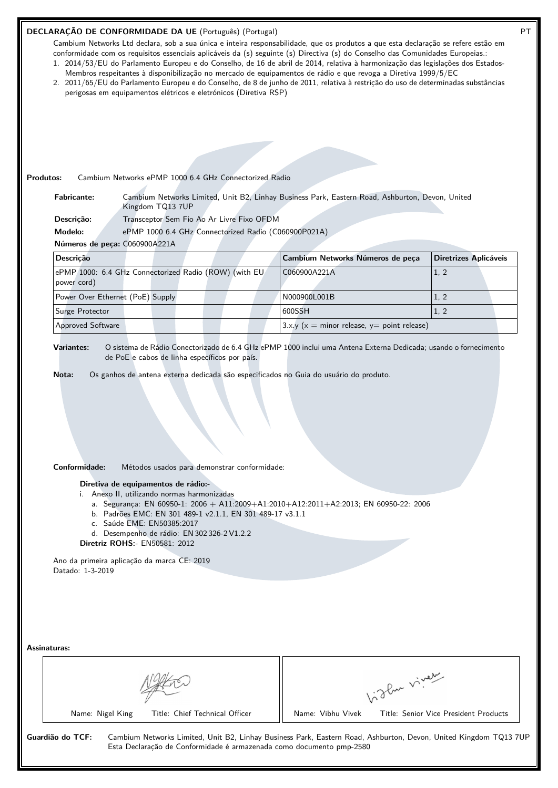## **DECLARAÇÃO DE CONFORMIDADE DA UE** (Português) (Portugal) **PT**

Cambium Networks Ltd declara, sob a sua única e inteira responsabilidade, que os produtos a que esta declaração se refere estão em conformidade com os requisitos essenciais aplicáveis da (s) seguinte (s) Directiva (s) do Conselho das Comunidades Europeias.: 1. 2014/53/EU do Parlamento Europeu e do Conselho, de 16 de abril de 2014, relativa à harmonização das legislações dos Estados-

- Membros respeitantes à disponibilização no mercado de equipamentos de rádio e que revoga a Diretiva 1999/5/EC
- 2. 2011/65/EU do Parlamento Europeu e do Conselho, de 8 de junho de 2011, relativa à restrição do uso de determinadas substâncias perigosas em equipamentos elétricos e eletrónicos (Diretiva RSP)

| <b>Fabricante:</b>                | Kingdom TQ13 7UP                                                                                                                                                                                                                                                                                                                                             | Cambium Networks Limited, Unit B2, Linhay Business Park, Eastern Road, Ashburton, Devon, United |                       |
|-----------------------------------|--------------------------------------------------------------------------------------------------------------------------------------------------------------------------------------------------------------------------------------------------------------------------------------------------------------------------------------------------------------|-------------------------------------------------------------------------------------------------|-----------------------|
| Descrição:                        | Transceptor Sem Fio Ao Ar Livre Fixo OFDM                                                                                                                                                                                                                                                                                                                    |                                                                                                 |                       |
| Modelo:                           | ePMP 1000 6.4 GHz Connectorized Radio (C060900P021A)                                                                                                                                                                                                                                                                                                         |                                                                                                 |                       |
| Números de peça: C060900A221A     |                                                                                                                                                                                                                                                                                                                                                              |                                                                                                 |                       |
| Descrição                         |                                                                                                                                                                                                                                                                                                                                                              | Cambium Networks Números de peça                                                                | Diretrizes Aplicáveis |
| power cord)                       | ePMP 1000: 6.4 GHz Connectorized Radio (ROW) (with EU                                                                                                                                                                                                                                                                                                        | C060900A221A                                                                                    | 1, 2                  |
| Power Over Ethernet (PoE) Supply  |                                                                                                                                                                                                                                                                                                                                                              | N000900L001B                                                                                    | 1, 2                  |
| Surge Protector                   |                                                                                                                                                                                                                                                                                                                                                              | 600SSH                                                                                          | 1, 2                  |
| Approved Software                 |                                                                                                                                                                                                                                                                                                                                                              | 3.x.y ( $x =$ minor release, $y =$ point release)                                               |                       |
|                                   |                                                                                                                                                                                                                                                                                                                                                              |                                                                                                 |                       |
| Conformidade:<br>Datado: 1-3-2019 | Métodos usados para demonstrar conformidade:<br>Diretiva de equipamentos de rádio:-<br>i. Anexo II, utilizando normas harmonizadas<br>b. Padrões EMC: EN 301 489-1 v2.1.1, EN 301 489-17 v3.1.1<br>c. Saúde EME: EN50385:2017<br>d. Desempenho de rádio: EN 302 326-2 V1.2.2<br>Diretriz ROHS:- EN50581: 2012<br>Ano da primeira aplicação da marca CE: 2019 | a. Segurança: EN 60950-1: 2006 + A11:2009+A1:2010+A12:2011+A2:2013; EN 60950-22: 2006           |                       |
| Assinaturas:                      |                                                                                                                                                                                                                                                                                                                                                              |                                                                                                 |                       |
|                                   |                                                                                                                                                                                                                                                                                                                                                              | Light virey                                                                                     |                       |

**Guardião do TCF:** Cambium Networks Limited, Unit B2, Linhay Business Park, Eastern Road, Ashburton, Devon, United Kingdom TQ13 7UP Esta Declaração de Conformidade é armazenada como documento pmp-2580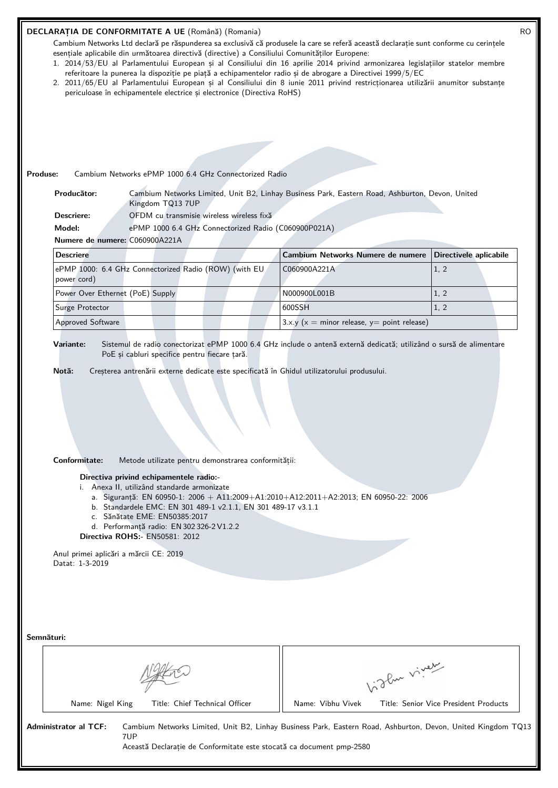### **DECLARAȚIA DE CONFORMITATE A UE** (Română) (Romania) RO

Cambium Networks Ltd declară pe răspunderea sa exclusivă că produsele la care se referă această declarație sunt conforme cu cerințele esențiale aplicabile din următoarea directivă (directive) a Consiliului Comunităților Europene:

- 1. 2014/53/EU al Parlamentului European și al Consiliului din 16 aprilie 2014 privind armonizarea legislațiilor statelor membre referitoare la punerea la dispoziție pe piață a echipamentelor radio și de abrogare a Directivei 1999/5/EC
- 2. 2011/65/EU al Parlamentului European și al Consiliului din 8 iunie 2011 privind restricționarea utilizării anumitor substanțe periculoase în echipamentele electrice și electronice (Directiva RoHS)

## **Produse:** Cambium Networks ePMP 1000 6.4 GHz Connectorized Radio

**Producător:** Cambium Networks Limited, Unit B2, Linhay Business Park, Eastern Road, Ashburton, Devon, United Kingdom TQ13 7UP **Descriere:** OFDM cu transmisie wireless wireless fixă

**Model:** ePMP 1000 6.4 GHz Connectorized Radio (C060900P021A)

**Numere de numere:** C060900A221A

| <b>Descriere</b>                                                     | Cambium Networks Numere de numere Directivele aplicabile |      |
|----------------------------------------------------------------------|----------------------------------------------------------|------|
| ePMP 1000: 6.4 GHz Connectorized Radio (ROW) (with EU<br>power cord) | C060900A221A                                             | 1, 2 |
| Power Over Ethernet (PoE) Supply                                     | N000900L001B                                             |      |
| Surge Protector                                                      | 600SSH                                                   |      |
| <b>Approved Software</b>                                             | $3.x.y$ ( $x =$ minor release, $y =$ point release)      |      |

**Variante:** Sistemul de radio conectorizat ePMP 1000 6.4 GHz include o antenă externă dedicată; utilizând o sursă de alimentare PoE și cabluri specifice pentru fiecare țară.

**Notă:** Creșterea antrenării externe dedicate este specificată în Ghidul utilizatorului produsului.

#### **Conformitate:** Metode utilizate pentru demonstrarea conformității:

**Directiva privind echipamentele radio:-**

- i. Anexa II, utilizând standarde armonizate
	- a. Sigurantă: EN 60950-1:  $2006 + A11:2009 + A1:2010 + A12:2011 + A2:2013$ ; EN 60950-22: 2006
	- b. Standardele EMC: EN 301 489-1 v2.1.1, EN 301 489-17 v3.1.1
	- c. Sănătate EME: EN50385:2017
	- d. Performanță radio: EN 302 326-2 V1.2.2
- **Directiva ROHS:-** EN50581: 2012

Anul primei aplicări a mărcii CE: 2019 Datat: 1-3-2019

**Semnături:**



Name: Nigel King Title: Chief Technical Officer | Name: Vibhu Vivek Title: Senior Vice President Products

**Administrator al TCF:** Cambium Networks Limited, Unit B2, Linhay Business Park, Eastern Road, Ashburton, Devon, United Kingdom TQ13 7UP

Această Declarație de Conformitate este stocată ca document pmp-2580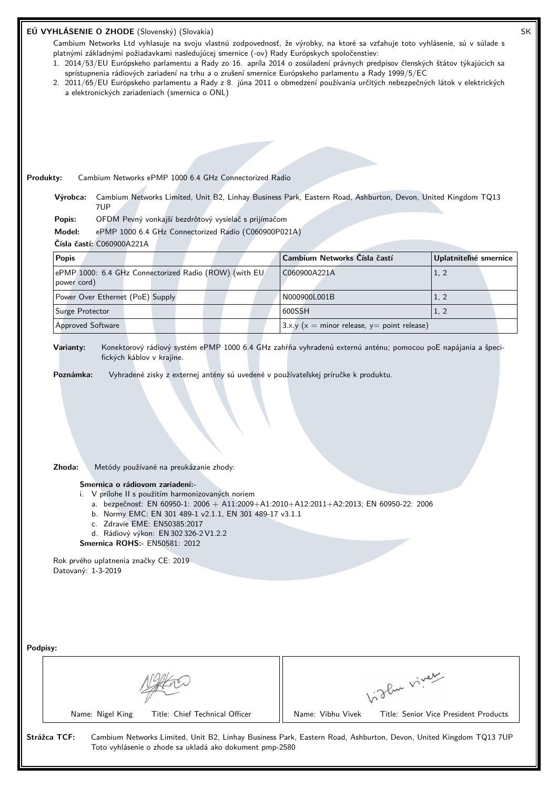| EÚ VYHLÁSENIE O ZHODE (Slovenský) (Slovakia)                                                                                                                                                                                                                                                                                                                                                                                                                                                                                                                                                         |                                               | SK                                    |  |
|------------------------------------------------------------------------------------------------------------------------------------------------------------------------------------------------------------------------------------------------------------------------------------------------------------------------------------------------------------------------------------------------------------------------------------------------------------------------------------------------------------------------------------------------------------------------------------------------------|-----------------------------------------------|---------------------------------------|--|
| Cambium Networks Ltd vyhlasuje na svoju vlastnú zodpovednosť, že výrobky, na ktoré sa vzťahuje toto vyhlásenie, sú v súlade s<br>platnými základnými požiadavkami nasledujúcej smernice (-ov) Rady Európskych spoločenstiev:<br>1. 2014/53/EU Európskeho parlamentu a Rady zo 16. apríla 2014 o zosúladení právnych predpisov členských štátov týkajúcich sa<br>sprístupnenia rádiových zariadení na trhu a o zrušení smernice Európskeho parlamentu a Rady 1999/5/EC<br>2. 2011/65/EU Európskeho parlamentu a Rady z 8. júna 2011 o obmedzení používania určitých nebezpečných látok v elektrických |                                               |                                       |  |
| a elektronických zariadeniach (smernica o ONL)                                                                                                                                                                                                                                                                                                                                                                                                                                                                                                                                                       |                                               |                                       |  |
|                                                                                                                                                                                                                                                                                                                                                                                                                                                                                                                                                                                                      |                                               |                                       |  |
|                                                                                                                                                                                                                                                                                                                                                                                                                                                                                                                                                                                                      |                                               |                                       |  |
|                                                                                                                                                                                                                                                                                                                                                                                                                                                                                                                                                                                                      |                                               |                                       |  |
| Cambium Networks ePMP 1000 6.4 GHz Connectorized Radio<br>Produkty:                                                                                                                                                                                                                                                                                                                                                                                                                                                                                                                                  |                                               |                                       |  |
| Cambium Networks Limited, Unit B2, Linhay Business Park, Eastern Road, Ashburton, Devon, United Kingdom TQ13<br>Výrobca:<br>7UP                                                                                                                                                                                                                                                                                                                                                                                                                                                                      |                                               |                                       |  |
| OFDM Pevný vonkajší bezdrôtový vysielač s prijímačom<br>Popis:                                                                                                                                                                                                                                                                                                                                                                                                                                                                                                                                       |                                               |                                       |  |
| Model:<br>ePMP 1000 6.4 GHz Connectorized Radio (C060900P021A)                                                                                                                                                                                                                                                                                                                                                                                                                                                                                                                                       |                                               |                                       |  |
| Čísla častí: C060900A221A                                                                                                                                                                                                                                                                                                                                                                                                                                                                                                                                                                            |                                               |                                       |  |
| <b>Popis</b>                                                                                                                                                                                                                                                                                                                                                                                                                                                                                                                                                                                         | Cambium Networks Čísla častí<br>C060900A221A  | Uplatniteľné smernice                 |  |
| ePMP 1000: 6.4 GHz Connectorized Radio (ROW) (with EU<br>power cord)                                                                                                                                                                                                                                                                                                                                                                                                                                                                                                                                 |                                               | 1, 2                                  |  |
| Power Over Ethernet (PoE) Supply                                                                                                                                                                                                                                                                                                                                                                                                                                                                                                                                                                     | N000900L001B                                  | 1, 2                                  |  |
| Surge Protector                                                                                                                                                                                                                                                                                                                                                                                                                                                                                                                                                                                      | 600SSH                                        | 1, 2                                  |  |
| Approved Software                                                                                                                                                                                                                                                                                                                                                                                                                                                                                                                                                                                    | $3.x.y(x = minor release, y = point release)$ |                                       |  |
| Varianty:<br>Konektorový rádiový systém ePMP 1000 6.4 GHz zahŕňa vyhradenú externú anténu; pomocou poE napájania a špeci-<br>fických káblov v krajine.                                                                                                                                                                                                                                                                                                                                                                                                                                               |                                               |                                       |  |
| Zhoda:<br>Metódy používané na preukázanie zhody:                                                                                                                                                                                                                                                                                                                                                                                                                                                                                                                                                     |                                               |                                       |  |
| Smernica o rádiovom zariadení:-<br>i. V prílohe II s použitím harmonizovaných noriem<br>a. bezpečnosť: EN 60950-1: 2006 + A11:2009+A1:2010+A12:2011+A2:2013; EN 60950-22: 2006<br>b. Normy EMC: EN 301 489-1 v2.1.1, EN 301 489-17 v3.1.1<br>c. Zdravie EME: EN50385:2017<br>d. Rádiový výkon: EN 302 326-2 V1.2.2<br><b>Smernica ROHS:- EN50581: 2012</b>                                                                                                                                                                                                                                           |                                               |                                       |  |
| Rok prvého uplatnenia značky CE: 2019<br>Datovaný: 1-3-2019                                                                                                                                                                                                                                                                                                                                                                                                                                                                                                                                          |                                               |                                       |  |
| Podpisy:                                                                                                                                                                                                                                                                                                                                                                                                                                                                                                                                                                                             |                                               |                                       |  |
|                                                                                                                                                                                                                                                                                                                                                                                                                                                                                                                                                                                                      |                                               |                                       |  |
|                                                                                                                                                                                                                                                                                                                                                                                                                                                                                                                                                                                                      | Light virey                                   |                                       |  |
| Name: Nigel King<br>Title: Chief Technical Officer                                                                                                                                                                                                                                                                                                                                                                                                                                                                                                                                                   | Name: Vibhu Vivek                             | Title: Senior Vice President Products |  |
| Strážca TCF:<br>Cambium Networks Limited, Unit B2, Linhay Business Park, Eastern Road, Ashburton, Devon, United Kingdom TQ13 7UP<br>Toto vyhlásenie o zhode sa ukladá ako dokument pmp-2580                                                                                                                                                                                                                                                                                                                                                                                                          |                                               |                                       |  |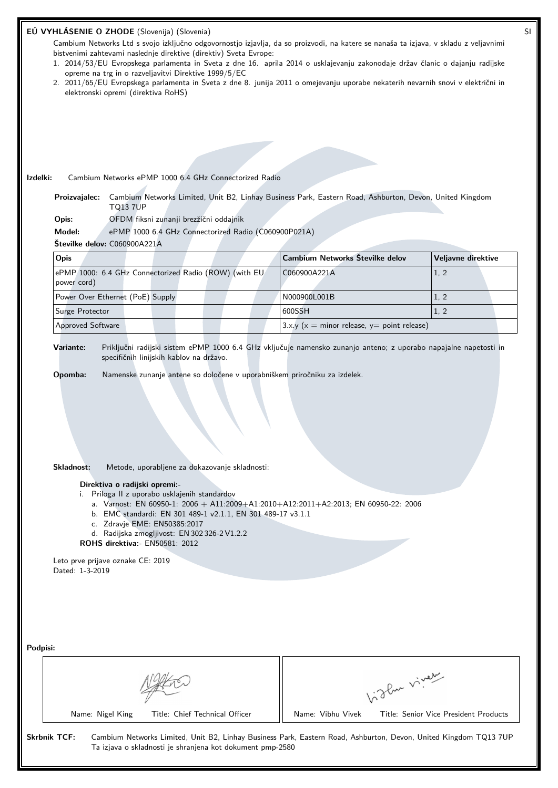|                     |                                                                                                                                             | EÚ VYHLÁSENIE O ZHODE (Slovenija) (Slovenia)<br>Cambium Networks Ltd s svojo izključno odgovornostjo izjavlja, da so proizvodi, na katere se nanaša ta izjava, v skladu z veljavnimi<br>bistvenimi zahtevami naslednje direktive (direktiv) Sveta Evrope:<br>1. 2014/53/EU Evropskega parlamenta in Sveta z dne 16. aprila 2014 o usklajevanju zakonodaje držav članic o dajanju radijske<br>opreme na trg in o razveljavitvi Direktive 1999/5/EC<br>2. 2011/65/EU Evropskega parlamenta in Sveta z dne 8. junija 2011 o omejevanju uporabe nekaterih nevarnih snovi v električni in<br>elektronski opremi (direktiva RoHS) |  |                                                   |              | SI                                    |
|---------------------|---------------------------------------------------------------------------------------------------------------------------------------------|-----------------------------------------------------------------------------------------------------------------------------------------------------------------------------------------------------------------------------------------------------------------------------------------------------------------------------------------------------------------------------------------------------------------------------------------------------------------------------------------------------------------------------------------------------------------------------------------------------------------------------|--|---------------------------------------------------|--------------|---------------------------------------|
|                     |                                                                                                                                             |                                                                                                                                                                                                                                                                                                                                                                                                                                                                                                                                                                                                                             |  |                                                   |              |                                       |
| Izdelki:            |                                                                                                                                             | Cambium Networks ePMP 1000 6.4 GHz Connectorized Radio                                                                                                                                                                                                                                                                                                                                                                                                                                                                                                                                                                      |  |                                                   |              |                                       |
|                     | Cambium Networks Limited, Unit B2, Linhay Business Park, Eastern Road, Ashburton, Devon, United Kingdom<br>Proizvajalec:<br><b>TQ13 7UP</b> |                                                                                                                                                                                                                                                                                                                                                                                                                                                                                                                                                                                                                             |  |                                                   |              |                                       |
|                     | OFDM fiksni zunanji brezžični oddajnik<br>Opis:                                                                                             |                                                                                                                                                                                                                                                                                                                                                                                                                                                                                                                                                                                                                             |  |                                                   |              |                                       |
|                     | Model:                                                                                                                                      | ePMP 1000 6.4 GHz Connectorized Radio (C060900P021A)                                                                                                                                                                                                                                                                                                                                                                                                                                                                                                                                                                        |  |                                                   |              |                                       |
|                     | Številke delov: C060900A221A                                                                                                                |                                                                                                                                                                                                                                                                                                                                                                                                                                                                                                                                                                                                                             |  |                                                   |              |                                       |
|                     | Opis                                                                                                                                        |                                                                                                                                                                                                                                                                                                                                                                                                                                                                                                                                                                                                                             |  | Cambium Networks Številke delov                   |              | Veljavne direktive                    |
|                     | power cord)                                                                                                                                 | ePMP 1000: 6.4 GHz Connectorized Radio (ROW) (with EU                                                                                                                                                                                                                                                                                                                                                                                                                                                                                                                                                                       |  | C060900A221A                                      |              | 1, 2                                  |
|                     | Power Over Ethernet (PoE) Supply                                                                                                            |                                                                                                                                                                                                                                                                                                                                                                                                                                                                                                                                                                                                                             |  | N000900L001B                                      |              | 1, 2                                  |
|                     | Surge Protector                                                                                                                             |                                                                                                                                                                                                                                                                                                                                                                                                                                                                                                                                                                                                                             |  | 600SSH                                            |              | 1, 2                                  |
|                     | Approved Software                                                                                                                           |                                                                                                                                                                                                                                                                                                                                                                                                                                                                                                                                                                                                                             |  | 3.x.y ( $x =$ minor release, $y =$ point release) |              |                                       |
|                     | Opomba:<br>Skladnost:<br>Leto prve prijave oznake CE: 2019<br>Dated: 1-3-2019                                                               | Namenske zunanje antene so določene v uporabniškem priročniku za izdelek.<br>Metode, uporabljene za dokazovanje skladnosti:<br>Direktiva o radijski opremi:-<br>i. Priloga II z uporabo usklajenih standardov<br>a. Varnost: EN 60950-1: 2006 + A11:2009+A1:2010+A12:2011+A2:2013; EN 60950-22: 2006<br>b. EMC standardi: EN 301 489-1 v2.1.1, EN 301 489-17 v3.1.1<br>c. Zdravje EME: EN50385:2017<br>d. Radijska zmogljivost: EN 302 326-2 V1.2.2<br><b>ROHS direktiva:</b> EN50581: 2012                                                                                                                                 |  |                                                   |              |                                       |
| Podpisi:            | Name: Nigel King                                                                                                                            | Title: Chief Technical Officer                                                                                                                                                                                                                                                                                                                                                                                                                                                                                                                                                                                              |  | Name: Vibhu Vivek                                 | Vidley viney | Title: Senior Vice President Products |
| <b>Skrbnik TCF:</b> |                                                                                                                                             | Cambium Networks Limited, Unit B2, Linhay Business Park, Eastern Road, Ashburton, Devon, United Kingdom TQ13 7UP<br>Ta izjava o skladnosti je shranjena kot dokument pmp-2580                                                                                                                                                                                                                                                                                                                                                                                                                                               |  |                                                   |              |                                       |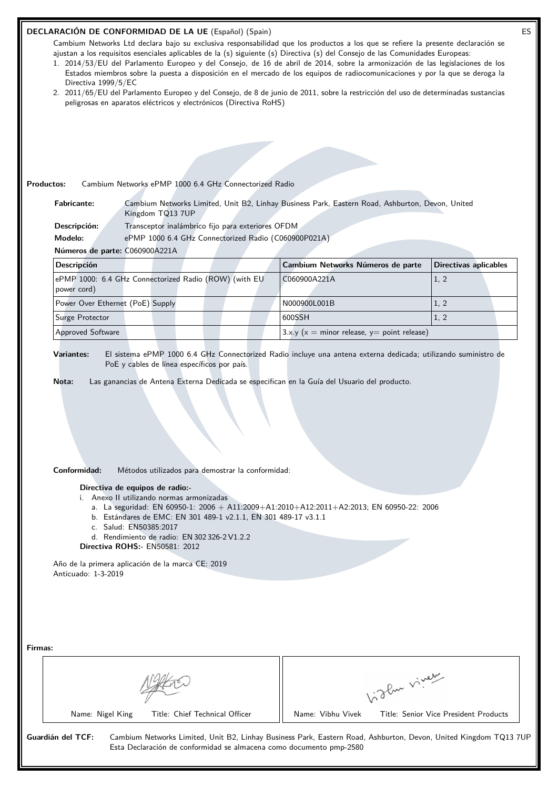| 1. 2014/53/EU del Parlamento Europeo y del Consejo, de 16 de abril de 2014, sobre la armonización de las legislaciones de los<br>Estados miembros sobre la puesta a disposición en el mercado de los equipos de radiocomunicaciones y por la que se deroga la<br>Directiva 1999/5/EC<br>2. 2011/65/EU del Parlamento Europeo y del Consejo, de 8 de junio de 2011, sobre la restricción del uso de determinadas sustancias | Cambium Networks Ltd declara bajo su exclusiva responsabilidad que los productos a los que se refiere la presente declaración se<br>ajustan a los requisitos esenciales aplicables de la (s) siguiente (s) Directiva (s) del Consejo de las Comunidades Europeas: |                                       |
|----------------------------------------------------------------------------------------------------------------------------------------------------------------------------------------------------------------------------------------------------------------------------------------------------------------------------------------------------------------------------------------------------------------------------|-------------------------------------------------------------------------------------------------------------------------------------------------------------------------------------------------------------------------------------------------------------------|---------------------------------------|
| peligrosas en aparatos eléctricos y electrónicos (Directiva RoHS)                                                                                                                                                                                                                                                                                                                                                          |                                                                                                                                                                                                                                                                   |                                       |
|                                                                                                                                                                                                                                                                                                                                                                                                                            |                                                                                                                                                                                                                                                                   |                                       |
|                                                                                                                                                                                                                                                                                                                                                                                                                            |                                                                                                                                                                                                                                                                   |                                       |
|                                                                                                                                                                                                                                                                                                                                                                                                                            |                                                                                                                                                                                                                                                                   |                                       |
| <b>Productos:</b><br>Cambium Networks ePMP 1000 6.4 GHz Connectorized Radio                                                                                                                                                                                                                                                                                                                                                |                                                                                                                                                                                                                                                                   |                                       |
| <b>Fabricante:</b><br>Cambium Networks Limited, Unit B2, Linhay Business Park, Eastern Road, Ashburton, Devon, United<br>Kingdom TQ13 7UP                                                                                                                                                                                                                                                                                  |                                                                                                                                                                                                                                                                   |                                       |
| Transceptor inalámbrico fijo para exteriores OFDM<br>Descripción:                                                                                                                                                                                                                                                                                                                                                          |                                                                                                                                                                                                                                                                   |                                       |
| Modelo:<br>ePMP 1000 6.4 GHz Connectorized Radio (C060900P021A)                                                                                                                                                                                                                                                                                                                                                            |                                                                                                                                                                                                                                                                   |                                       |
| Números de parte: C060900A221A                                                                                                                                                                                                                                                                                                                                                                                             |                                                                                                                                                                                                                                                                   |                                       |
| <b>Descripción</b>                                                                                                                                                                                                                                                                                                                                                                                                         | Cambium Networks Números de parte                                                                                                                                                                                                                                 | <b>Directivas aplicables</b>          |
| ePMP 1000: 6.4 GHz Connectorized Radio (ROW) (with EU<br>power cord)                                                                                                                                                                                                                                                                                                                                                       | C060900A221A                                                                                                                                                                                                                                                      | 1, 2                                  |
| Power Over Ethernet (PoE) Supply                                                                                                                                                                                                                                                                                                                                                                                           | N000900L001B                                                                                                                                                                                                                                                      | 1, 2                                  |
| Surge Protector                                                                                                                                                                                                                                                                                                                                                                                                            | 600SSH                                                                                                                                                                                                                                                            | 1, 2                                  |
| <b>Approved Software</b>                                                                                                                                                                                                                                                                                                                                                                                                   | $3.x.y(x = minor release, y = point release)$                                                                                                                                                                                                                     |                                       |
| El sistema ePMP 1000 6.4 GHz Connectorized Radio incluye una antena externa dedicada; utilizando suministro de<br><b>Variantes:</b><br>PoE y cables de línea específicos por país.<br>Las ganancias de Antena Externa Dedicada se especifican en la Guía del Usuario del producto.<br>Nota:                                                                                                                                |                                                                                                                                                                                                                                                                   |                                       |
|                                                                                                                                                                                                                                                                                                                                                                                                                            |                                                                                                                                                                                                                                                                   |                                       |
| Conformidad:<br>Métodos utilizados para demostrar la conformidad:                                                                                                                                                                                                                                                                                                                                                          |                                                                                                                                                                                                                                                                   |                                       |
| Directiva de equipos de radio:-                                                                                                                                                                                                                                                                                                                                                                                            |                                                                                                                                                                                                                                                                   |                                       |
| i. Anexo II utilizando normas armonizadas                                                                                                                                                                                                                                                                                                                                                                                  |                                                                                                                                                                                                                                                                   |                                       |
| a. La seguridad: EN 60950-1: 2006 + A11:2009+A1:2010+A12:2011+A2:2013; EN 60950-22: 2006<br>b. Estándares de EMC: EN 301 489-1 v2.1.1, EN 301 489-17 v3.1.1                                                                                                                                                                                                                                                                |                                                                                                                                                                                                                                                                   |                                       |
| c. Salud: EN50385:2017                                                                                                                                                                                                                                                                                                                                                                                                     |                                                                                                                                                                                                                                                                   |                                       |
| d. Rendimiento de radio: EN 302 326-2 V1.2.2<br><b>Directiva ROHS: - EN50581: 2012</b>                                                                                                                                                                                                                                                                                                                                     |                                                                                                                                                                                                                                                                   |                                       |
| Año de la primera aplicación de la marca CE: 2019                                                                                                                                                                                                                                                                                                                                                                          |                                                                                                                                                                                                                                                                   |                                       |
| Anticuado: 1-3-2019                                                                                                                                                                                                                                                                                                                                                                                                        |                                                                                                                                                                                                                                                                   |                                       |
|                                                                                                                                                                                                                                                                                                                                                                                                                            |                                                                                                                                                                                                                                                                   |                                       |
|                                                                                                                                                                                                                                                                                                                                                                                                                            |                                                                                                                                                                                                                                                                   |                                       |
|                                                                                                                                                                                                                                                                                                                                                                                                                            |                                                                                                                                                                                                                                                                   |                                       |
|                                                                                                                                                                                                                                                                                                                                                                                                                            |                                                                                                                                                                                                                                                                   |                                       |
| Firmas:                                                                                                                                                                                                                                                                                                                                                                                                                    |                                                                                                                                                                                                                                                                   |                                       |
|                                                                                                                                                                                                                                                                                                                                                                                                                            |                                                                                                                                                                                                                                                                   |                                       |
|                                                                                                                                                                                                                                                                                                                                                                                                                            |                                                                                                                                                                                                                                                                   |                                       |
| Name: Nigel King<br>Title: Chief Technical Officer                                                                                                                                                                                                                                                                                                                                                                         | indlu viner<br>Name: Vibhu Vivek                                                                                                                                                                                                                                  | Title: Senior Vice President Products |